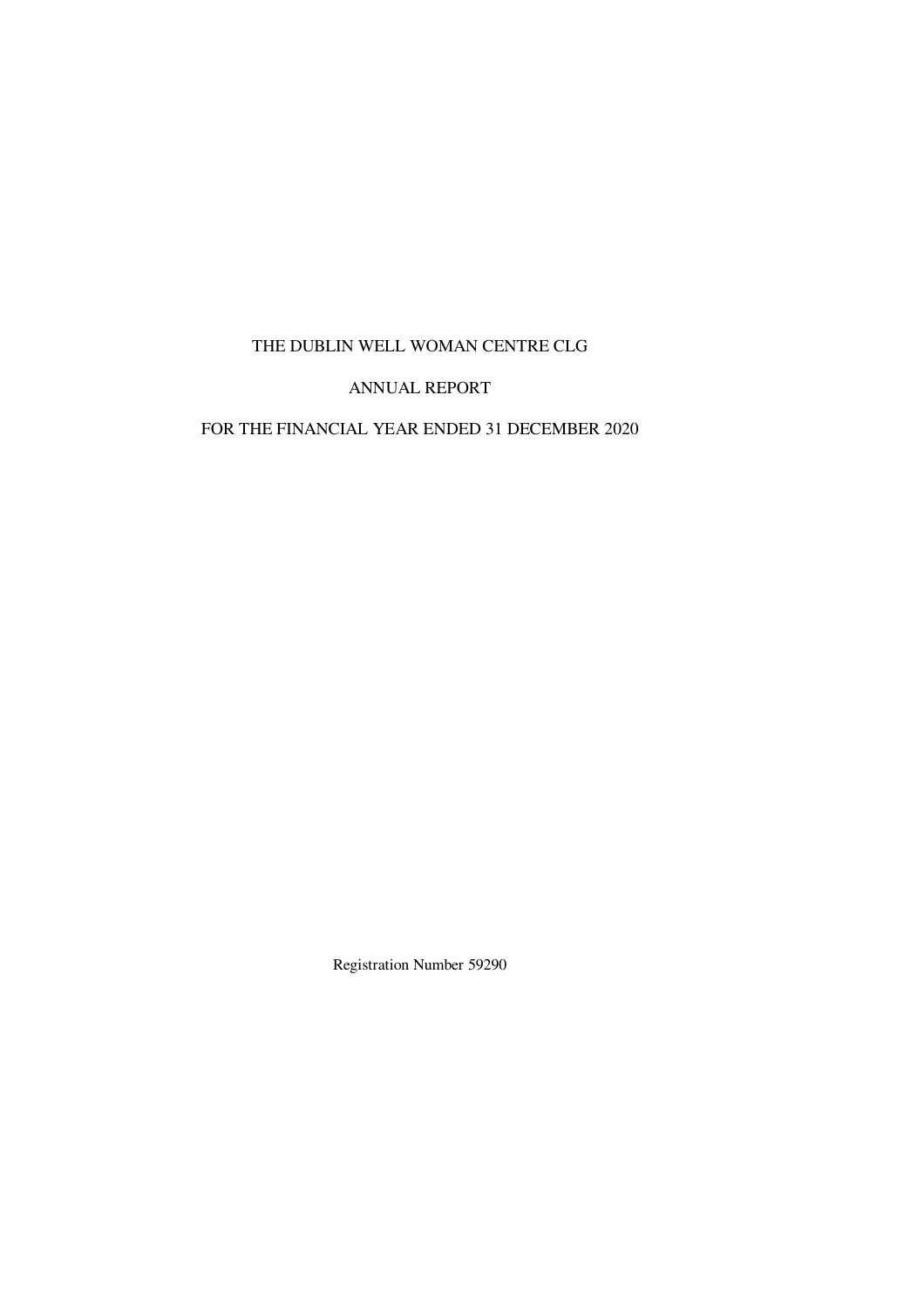# THE DUBLIN WELL WOMAN CENTRE CLG

# ANNUAL REPORT

# FOR THE FINANCIAL YEAR ENDED 31 DECEMBER 2020

Registration Number 59290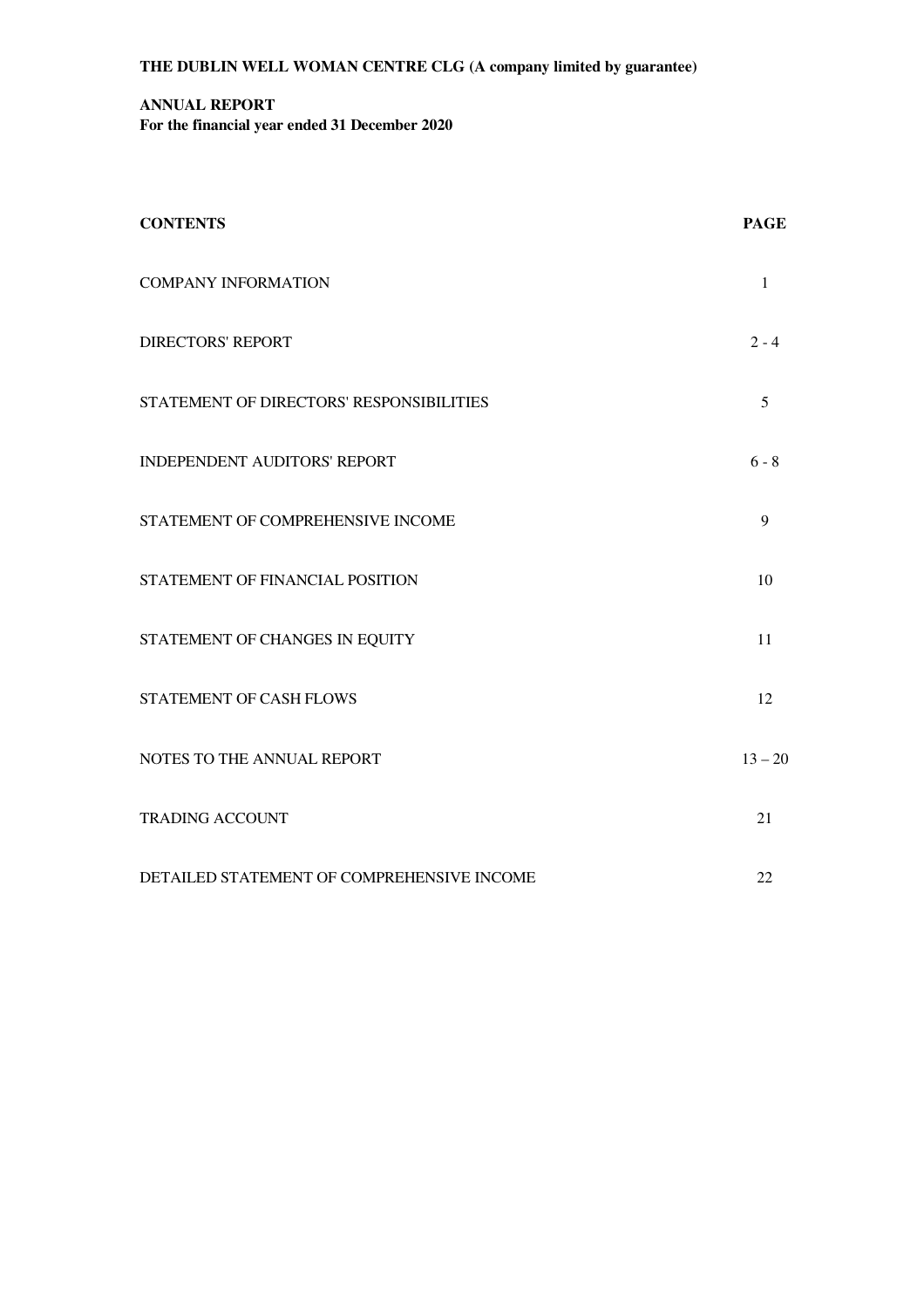# **ANNUAL REPORT**

 **For the financial year ended 31 December 2020** 

| <b>CONTENTS</b>                            | <b>PAGE</b> |
|--------------------------------------------|-------------|
| <b>COMPANY INFORMATION</b>                 | 1           |
| <b>DIRECTORS' REPORT</b>                   | $2 - 4$     |
| STATEMENT OF DIRECTORS' RESPONSIBILITIES   | 5           |
| <b>INDEPENDENT AUDITORS' REPORT</b>        | $6 - 8$     |
| STATEMENT OF COMPREHENSIVE INCOME          | 9           |
| STATEMENT OF FINANCIAL POSITION            | 10          |
| STATEMENT OF CHANGES IN EQUITY             | 11          |
| <b>STATEMENT OF CASH FLOWS</b>             | 12          |
| NOTES TO THE ANNUAL REPORT                 | $13 - 20$   |
| <b>TRADING ACCOUNT</b>                     | 21          |
| DETAILED STATEMENT OF COMPREHENSIVE INCOME | 22          |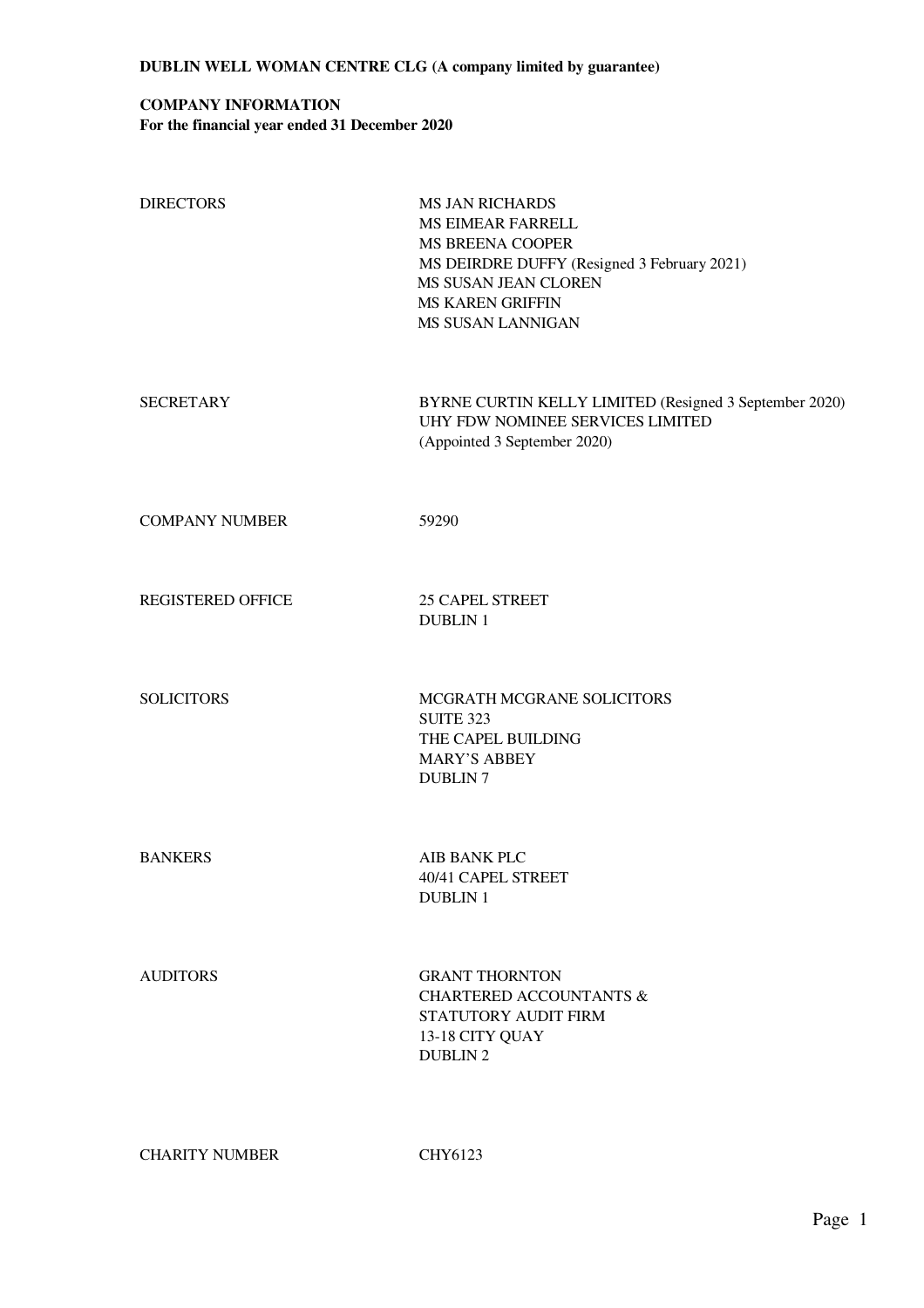# **COMPANY INFORMATION**

 **For the financial year ended 31 December 2020** 

| <b>DIRECTORS</b>         | <b>MS JAN RICHARDS</b><br>MS EIMEAR FARRELL<br><b>MS BREENA COOPER</b><br>MS DEIRDRE DUFFY (Resigned 3 February 2021)<br>MS SUSAN JEAN CLOREN<br><b>MS KAREN GRIFFIN</b><br>MS SUSAN LANNIGAN |
|--------------------------|-----------------------------------------------------------------------------------------------------------------------------------------------------------------------------------------------|
| <b>SECRETARY</b>         | BYRNE CURTIN KELLY LIMITED (Resigned 3 September 2020)<br>UHY FDW NOMINEE SERVICES LIMITED<br>(Appointed 3 September 2020)                                                                    |
| <b>COMPANY NUMBER</b>    | 59290                                                                                                                                                                                         |
| <b>REGISTERED OFFICE</b> | <b>25 CAPEL STREET</b><br><b>DUBLIN 1</b>                                                                                                                                                     |
| <b>SOLICITORS</b>        | MCGRATH MCGRANE SOLICITORS<br><b>SUITE 323</b><br>THE CAPEL BUILDING<br><b>MARY'S ABBEY</b><br><b>DUBLIN 7</b>                                                                                |
| <b>BANKERS</b>           | AIB BANK PLC<br>40/41 CAPEL STREET<br><b>DUBLIN 1</b>                                                                                                                                         |
| <b>AUDITORS</b>          | <b>GRANT THORNTON</b><br><b>CHARTERED ACCOUNTANTS &amp;</b><br>STATUTORY AUDIT FIRM<br>13-18 CITY QUAY<br><b>DUBLIN 2</b>                                                                     |
| <b>CHARITY NUMBER</b>    | CHY6123                                                                                                                                                                                       |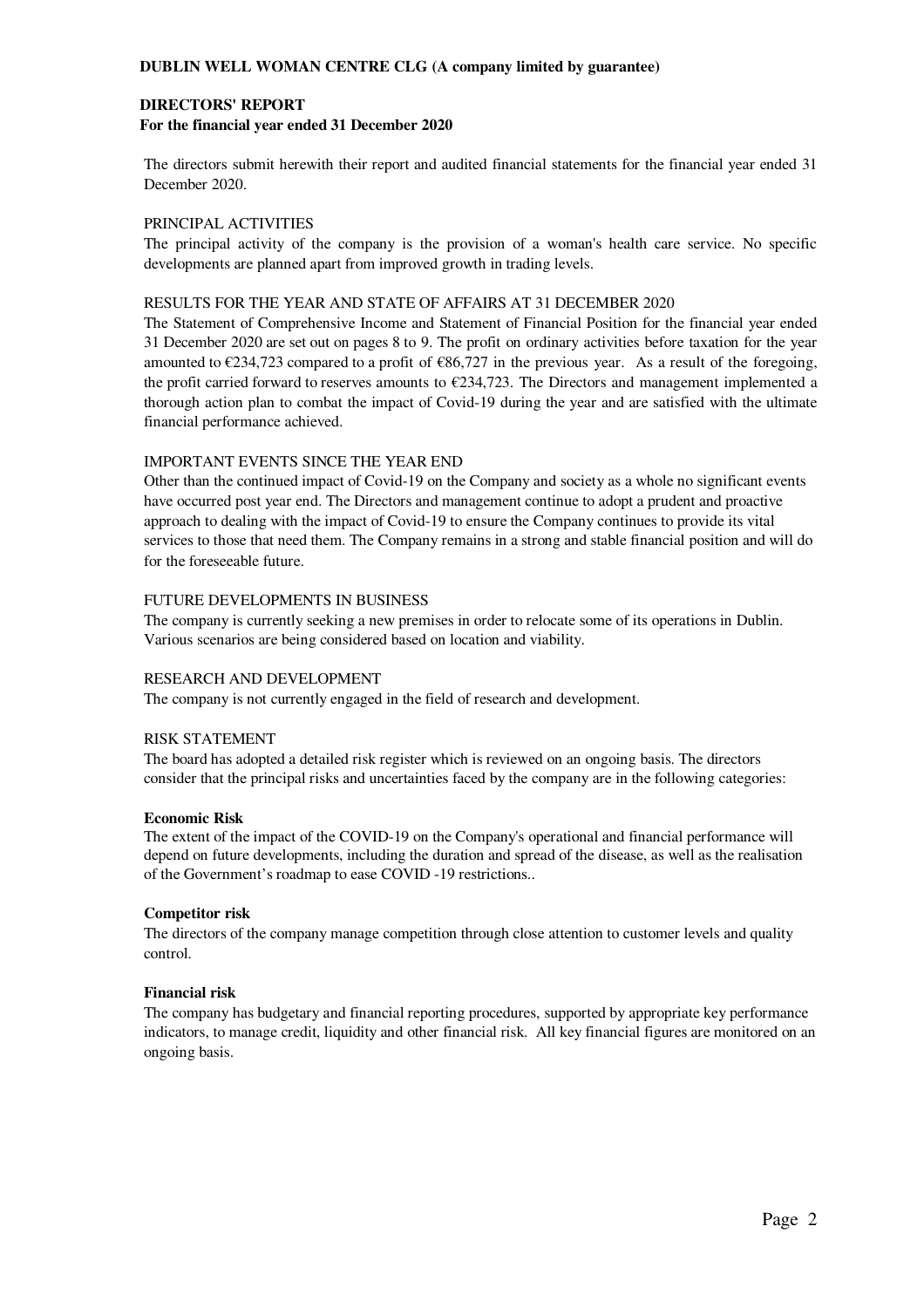## **DUBLIN WELL WOMAN CENTRE CLG (A company limited by guarantee)**

### **DIRECTORS' REPORT**

### **For the financial year ended 31 December 2020**

The directors submit herewith their report and audited financial statements for the financial year ended 31 December 2020.

### PRINCIPAL ACTIVITIES

The principal activity of the company is the provision of a woman's health care service. No specific developments are planned apart from improved growth in trading levels.

### RESULTS FOR THE YEAR AND STATE OF AFFAIRS AT 31 DECEMBER 2020

The Statement of Comprehensive Income and Statement of Financial Position for the financial year ended 31 December 2020 are set out on pages 8 to 9. The profit on ordinary activities before taxation for the year amounted to  $\epsilon$ 234,723 compared to a profit of  $\epsilon$ 86,727 in the previous year. As a result of the foregoing, the profit carried forward to reserves amounts to €234,723. The Directors and management implemented a thorough action plan to combat the impact of Covid-19 during the year and are satisfied with the ultimate financial performance achieved.

### IMPORTANT EVENTS SINCE THE YEAR END

Other than the continued impact of Covid-19 on the Company and society as a whole no significant events have occurred post year end. The Directors and management continue to adopt a prudent and proactive approach to dealing with the impact of Covid-19 to ensure the Company continues to provide its vital services to those that need them. The Company remains in a strong and stable financial position and will do for the foreseeable future.

### FUTURE DEVELOPMENTS IN BUSINESS

The company is currently seeking a new premises in order to relocate some of its operations in Dublin. Various scenarios are being considered based on location and viability.

### RESEARCH AND DEVELOPMENT

The company is not currently engaged in the field of research and development.

### RISK STATEMENT

The board has adopted a detailed risk register which is reviewed on an ongoing basis. The directors consider that the principal risks and uncertainties faced by the company are in the following categories:

#### **Economic Risk**

The extent of the impact of the COVID-19 on the Company's operational and financial performance will depend on future developments, including the duration and spread of the disease, as well as the realisation of the Government's roadmap to ease COVID -19 restrictions..

### **Competitor risk**

The directors of the company manage competition through close attention to customer levels and quality control.

### **Financial risk**

The company has budgetary and financial reporting procedures, supported by appropriate key performance indicators, to manage credit, liquidity and other financial risk. All key financial figures are monitored on an ongoing basis.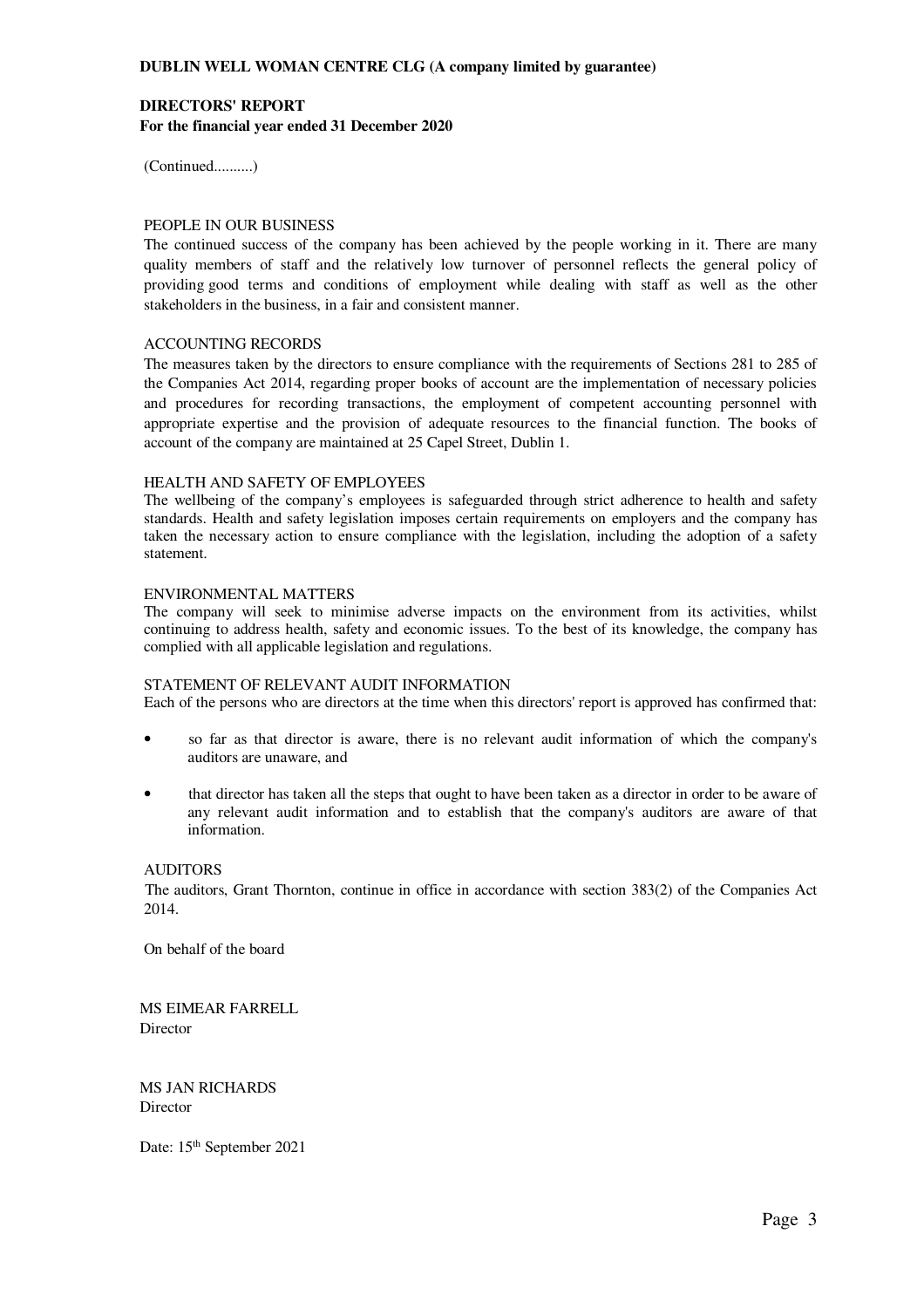### **DIRECTORS' REPORT**

 **For the financial year ended 31 December 2020** 

(Continued..........)

### PEOPLE IN OUR BUSINESS

The continued success of the company has been achieved by the people working in it. There are many quality members of staff and the relatively low turnover of personnel reflects the general policy of providing good terms and conditions of employment while dealing with staff as well as the other stakeholders in the business, in a fair and consistent manner.

### ACCOUNTING RECORDS

The measures taken by the directors to ensure compliance with the requirements of Sections 281 to 285 of the Companies Act 2014, regarding proper books of account are the implementation of necessary policies and procedures for recording transactions, the employment of competent accounting personnel with appropriate expertise and the provision of adequate resources to the financial function. The books of account of the company are maintained at 25 Capel Street, Dublin 1.

### HEALTH AND SAFETY OF EMPLOYEES

The wellbeing of the company's employees is safeguarded through strict adherence to health and safety standards. Health and safety legislation imposes certain requirements on employers and the company has taken the necessary action to ensure compliance with the legislation, including the adoption of a safety statement.

### ENVIRONMENTAL MATTERS

The company will seek to minimise adverse impacts on the environment from its activities, whilst continuing to address health, safety and economic issues. To the best of its knowledge, the company has complied with all applicable legislation and regulations.

### STATEMENT OF RELEVANT AUDIT INFORMATION

Each of the persons who are directors at the time when this directors' report is approved has confirmed that:

- so far as that director is aware, there is no relevant audit information of which the company's auditors are unaware, and
- that director has taken all the steps that ought to have been taken as a director in order to be aware of any relevant audit information and to establish that the company's auditors are aware of that information.

#### **AUDITORS**

 The auditors, Grant Thornton, continue in office in accordance with section 383(2) of the Companies Act 2014.

On behalf of the board

 MS EIMEAR FARRELL Director

 MS JAN RICHARDS Director

Date: 15<sup>th</sup> September 2021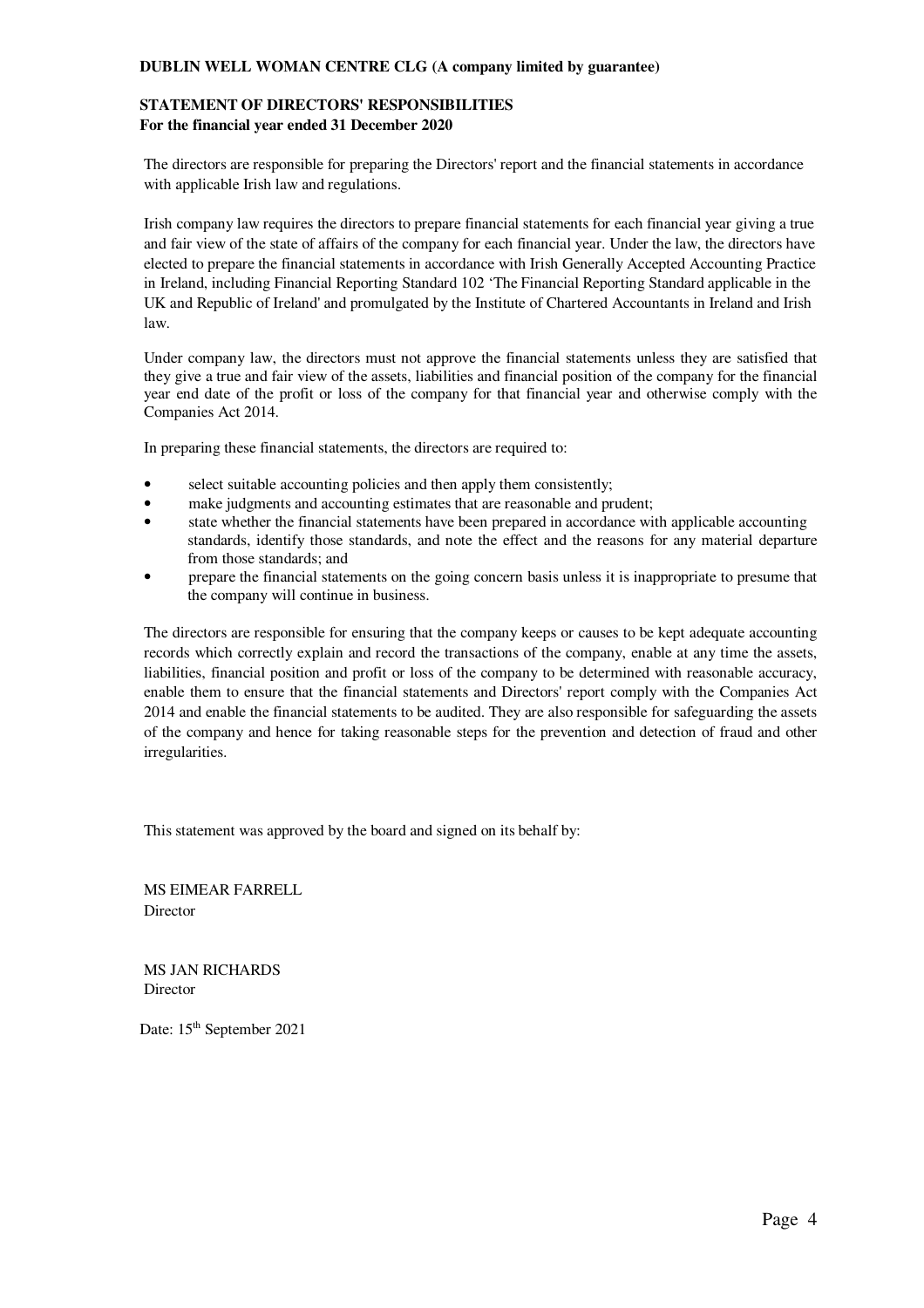# **STATEMENT OF DIRECTORS' RESPONSIBILITIES For the financial year ended 31 December 2020**

The directors are responsible for preparing the Directors' report and the financial statements in accordance with applicable Irish law and regulations.

Irish company law requires the directors to prepare financial statements for each financial year giving a true and fair view of the state of affairs of the company for each financial year. Under the law, the directors have elected to prepare the financial statements in accordance with Irish Generally Accepted Accounting Practice in Ireland, including Financial Reporting Standard 102 'The Financial Reporting Standard applicable in the UK and Republic of Ireland' and promulgated by the Institute of Chartered Accountants in Ireland and Irish law.

Under company law, the directors must not approve the financial statements unless they are satisfied that they give a true and fair view of the assets, liabilities and financial position of the company for the financial year end date of the profit or loss of the company for that financial year and otherwise comply with the Companies Act 2014.

In preparing these financial statements, the directors are required to:

- select suitable accounting policies and then apply them consistently;
- make judgments and accounting estimates that are reasonable and prudent;
- state whether the financial statements have been prepared in accordance with applicable accounting standards, identify those standards, and note the effect and the reasons for any material departure from those standards; and
- prepare the financial statements on the going concern basis unless it is inappropriate to presume that the company will continue in business.

The directors are responsible for ensuring that the company keeps or causes to be kept adequate accounting records which correctly explain and record the transactions of the company, enable at any time the assets, liabilities, financial position and profit or loss of the company to be determined with reasonable accuracy, enable them to ensure that the financial statements and Directors' report comply with the Companies Act 2014 and enable the financial statements to be audited. They are also responsible for safeguarding the assets of the company and hence for taking reasonable steps for the prevention and detection of fraud and other irregularities.

This statement was approved by the board and signed on its behalf by:

 MS EIMEAR FARRELL Director

 MS JAN RICHARDS **Director** 

Date: 15<sup>th</sup> September 2021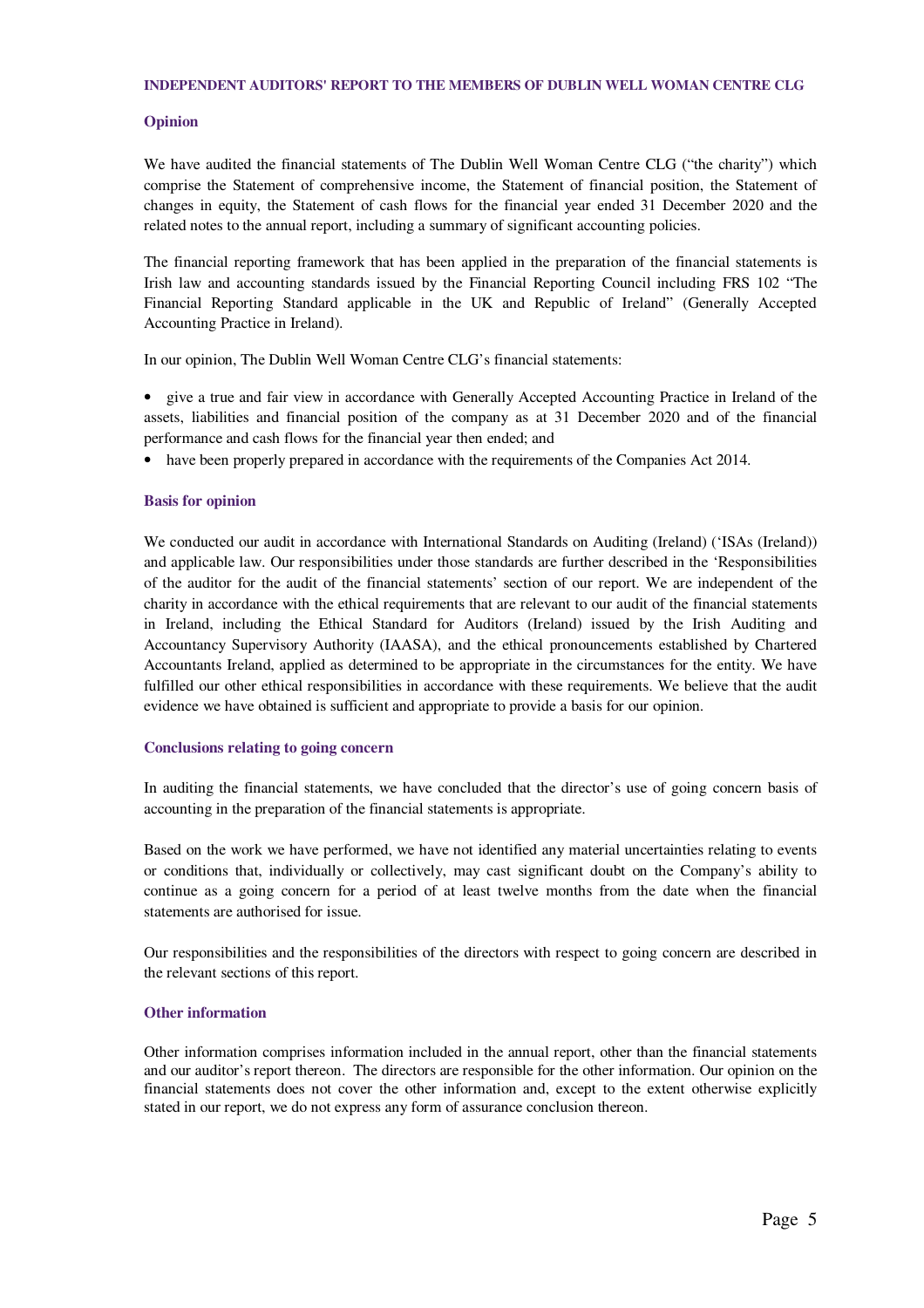#### **INDEPENDENT AUDITORS' REPORT TO THE MEMBERS OF DUBLIN WELL WOMAN CENTRE CLG**

### **Opinion**

We have audited the financial statements of The Dublin Well Woman Centre CLG ("the charity") which comprise the Statement of comprehensive income, the Statement of financial position, the Statement of changes in equity, the Statement of cash flows for the financial year ended 31 December 2020 and the related notes to the annual report, including a summary of significant accounting policies.

The financial reporting framework that has been applied in the preparation of the financial statements is Irish law and accounting standards issued by the Financial Reporting Council including FRS 102 "The Financial Reporting Standard applicable in the UK and Republic of Ireland" (Generally Accepted Accounting Practice in Ireland).

In our opinion, The Dublin Well Woman Centre CLG's financial statements:

• give a true and fair view in accordance with Generally Accepted Accounting Practice in Ireland of the assets, liabilities and financial position of the company as at 31 December 2020 and of the financial performance and cash flows for the financial year then ended; and

• have been properly prepared in accordance with the requirements of the Companies Act 2014.

### **Basis for opinion**

We conducted our audit in accordance with International Standards on Auditing (Ireland) ('ISAs (Ireland)) and applicable law. Our responsibilities under those standards are further described in the 'Responsibilities of the auditor for the audit of the financial statements' section of our report. We are independent of the charity in accordance with the ethical requirements that are relevant to our audit of the financial statements in Ireland, including the Ethical Standard for Auditors (Ireland) issued by the Irish Auditing and Accountancy Supervisory Authority (IAASA), and the ethical pronouncements established by Chartered Accountants Ireland, applied as determined to be appropriate in the circumstances for the entity. We have fulfilled our other ethical responsibilities in accordance with these requirements. We believe that the audit evidence we have obtained is sufficient and appropriate to provide a basis for our opinion.

#### **Conclusions relating to going concern**

In auditing the financial statements, we have concluded that the director's use of going concern basis of accounting in the preparation of the financial statements is appropriate.

Based on the work we have performed, we have not identified any material uncertainties relating to events or conditions that, individually or collectively, may cast significant doubt on the Company's ability to continue as a going concern for a period of at least twelve months from the date when the financial statements are authorised for issue.

Our responsibilities and the responsibilities of the directors with respect to going concern are described in the relevant sections of this report.

### **Other information**

Other information comprises information included in the annual report, other than the financial statements and our auditor's report thereon. The directors are responsible for the other information. Our opinion on the financial statements does not cover the other information and, except to the extent otherwise explicitly stated in our report, we do not express any form of assurance conclusion thereon.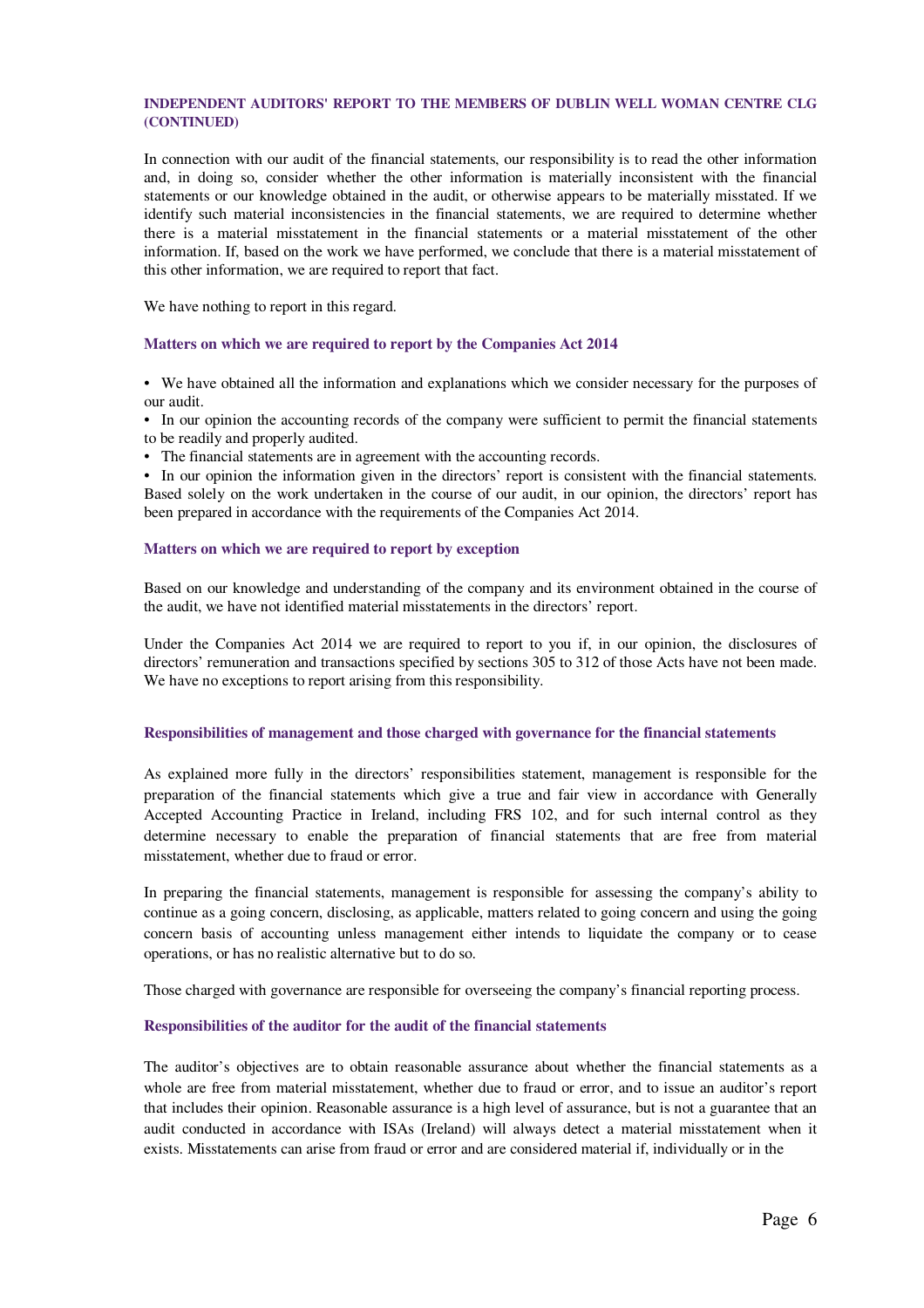### **INDEPENDENT AUDITORS' REPORT TO THE MEMBERS OF DUBLIN WELL WOMAN CENTRE CLG (CONTINUED)**

In connection with our audit of the financial statements, our responsibility is to read the other information and, in doing so, consider whether the other information is materially inconsistent with the financial statements or our knowledge obtained in the audit, or otherwise appears to be materially misstated. If we identify such material inconsistencies in the financial statements, we are required to determine whether there is a material misstatement in the financial statements or a material misstatement of the other information. If, based on the work we have performed, we conclude that there is a material misstatement of this other information, we are required to report that fact.

We have nothing to report in this regard.

### **Matters on which we are required to report by the Companies Act 2014**

• We have obtained all the information and explanations which we consider necessary for the purposes of our audit.

• In our opinion the accounting records of the company were sufficient to permit the financial statements to be readily and properly audited.

• The financial statements are in agreement with the accounting records.

• In our opinion the information given in the directors' report is consistent with the financial statements. Based solely on the work undertaken in the course of our audit, in our opinion, the directors' report has been prepared in accordance with the requirements of the Companies Act 2014.

### **Matters on which we are required to report by exception**

Based on our knowledge and understanding of the company and its environment obtained in the course of the audit, we have not identified material misstatements in the directors' report.

Under the Companies Act 2014 we are required to report to you if, in our opinion, the disclosures of directors' remuneration and transactions specified by sections 305 to 312 of those Acts have not been made. We have no exceptions to report arising from this responsibility.

#### **Responsibilities of management and those charged with governance for the financial statements**

As explained more fully in the directors' responsibilities statement, management is responsible for the preparation of the financial statements which give a true and fair view in accordance with Generally Accepted Accounting Practice in Ireland, including FRS 102, and for such internal control as they determine necessary to enable the preparation of financial statements that are free from material misstatement, whether due to fraud or error.

In preparing the financial statements, management is responsible for assessing the company's ability to continue as a going concern, disclosing, as applicable, matters related to going concern and using the going concern basis of accounting unless management either intends to liquidate the company or to cease operations, or has no realistic alternative but to do so.

Those charged with governance are responsible for overseeing the company's financial reporting process.

### **Responsibilities of the auditor for the audit of the financial statements**

The auditor's objectives are to obtain reasonable assurance about whether the financial statements as a whole are free from material misstatement, whether due to fraud or error, and to issue an auditor's report that includes their opinion. Reasonable assurance is a high level of assurance, but is not a guarantee that an audit conducted in accordance with ISAs (Ireland) will always detect a material misstatement when it exists. Misstatements can arise from fraud or error and are considered material if, individually or in the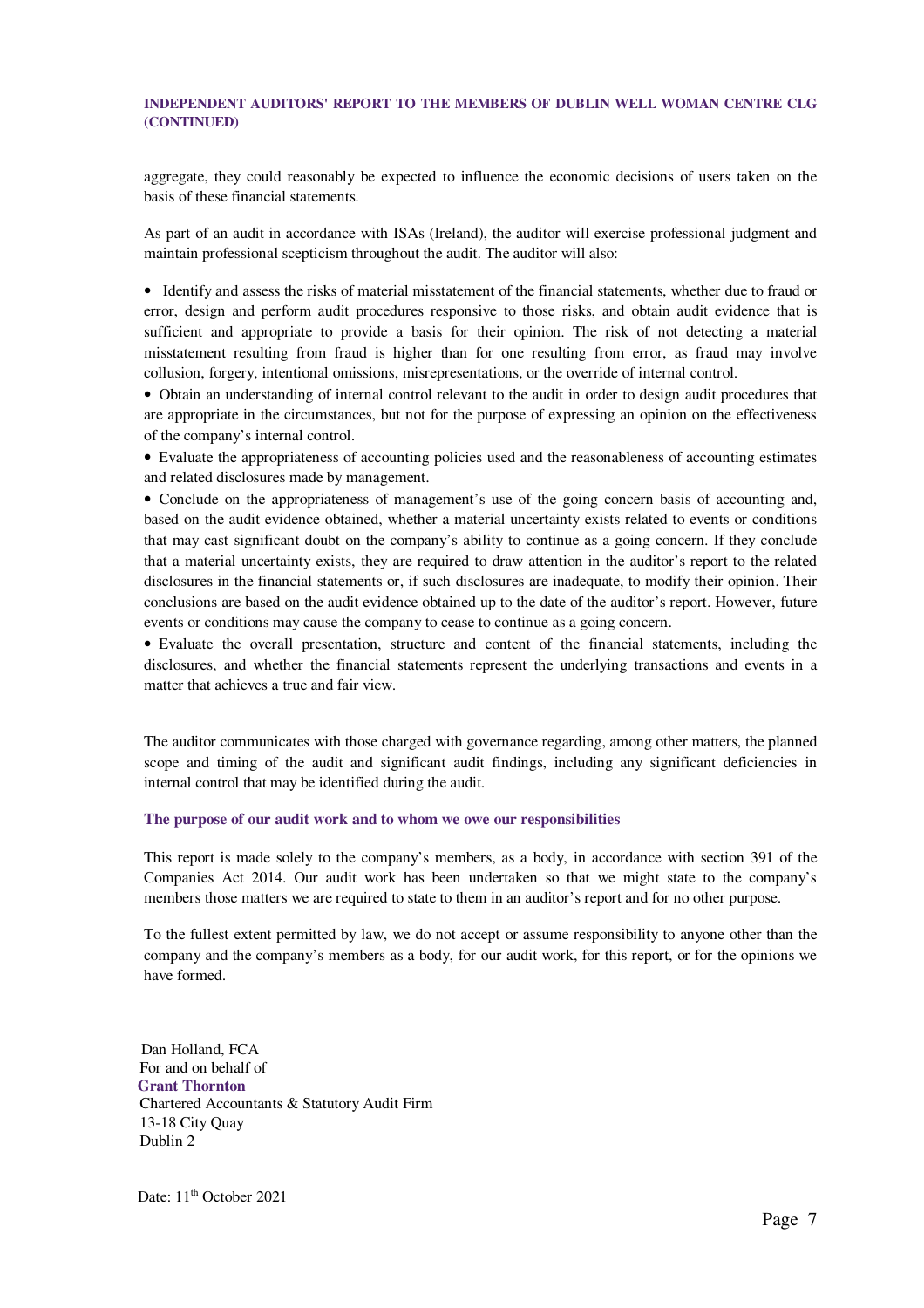### **INDEPENDENT AUDITORS' REPORT TO THE MEMBERS OF DUBLIN WELL WOMAN CENTRE CLG (CONTINUED)**

aggregate, they could reasonably be expected to influence the economic decisions of users taken on the basis of these financial statements.

As part of an audit in accordance with ISAs (Ireland), the auditor will exercise professional judgment and maintain professional scepticism throughout the audit. The auditor will also:

• Identify and assess the risks of material misstatement of the financial statements, whether due to fraud or error, design and perform audit procedures responsive to those risks, and obtain audit evidence that is sufficient and appropriate to provide a basis for their opinion. The risk of not detecting a material misstatement resulting from fraud is higher than for one resulting from error, as fraud may involve collusion, forgery, intentional omissions, misrepresentations, or the override of internal control.

• Obtain an understanding of internal control relevant to the audit in order to design audit procedures that are appropriate in the circumstances, but not for the purpose of expressing an opinion on the effectiveness of the company's internal control.

• Evaluate the appropriateness of accounting policies used and the reasonableness of accounting estimates and related disclosures made by management.

• Conclude on the appropriateness of management's use of the going concern basis of accounting and, based on the audit evidence obtained, whether a material uncertainty exists related to events or conditions that may cast significant doubt on the company's ability to continue as a going concern. If they conclude that a material uncertainty exists, they are required to draw attention in the auditor's report to the related disclosures in the financial statements or, if such disclosures are inadequate, to modify their opinion. Their conclusions are based on the audit evidence obtained up to the date of the auditor's report. However, future events or conditions may cause the company to cease to continue as a going concern.

• Evaluate the overall presentation, structure and content of the financial statements, including the disclosures, and whether the financial statements represent the underlying transactions and events in a matter that achieves a true and fair view.

The auditor communicates with those charged with governance regarding, among other matters, the planned scope and timing of the audit and significant audit findings, including any significant deficiencies in internal control that may be identified during the audit.

#### **The purpose of our audit work and to whom we owe our responsibilities**

This report is made solely to the company's members, as a body, in accordance with section 391 of the Companies Act 2014. Our audit work has been undertaken so that we might state to the company's members those matters we are required to state to them in an auditor's report and for no other purpose.

To the fullest extent permitted by law, we do not accept or assume responsibility to anyone other than the company and the company's members as a body, for our audit work, for this report, or for the opinions we have formed.

 Dan Holland, FCA For and on behalf of **Grant Thornton**  Chartered Accountants & Statutory Audit Firm 13-18 City Quay Dublin 2

Date: 11<sup>th</sup> October 2021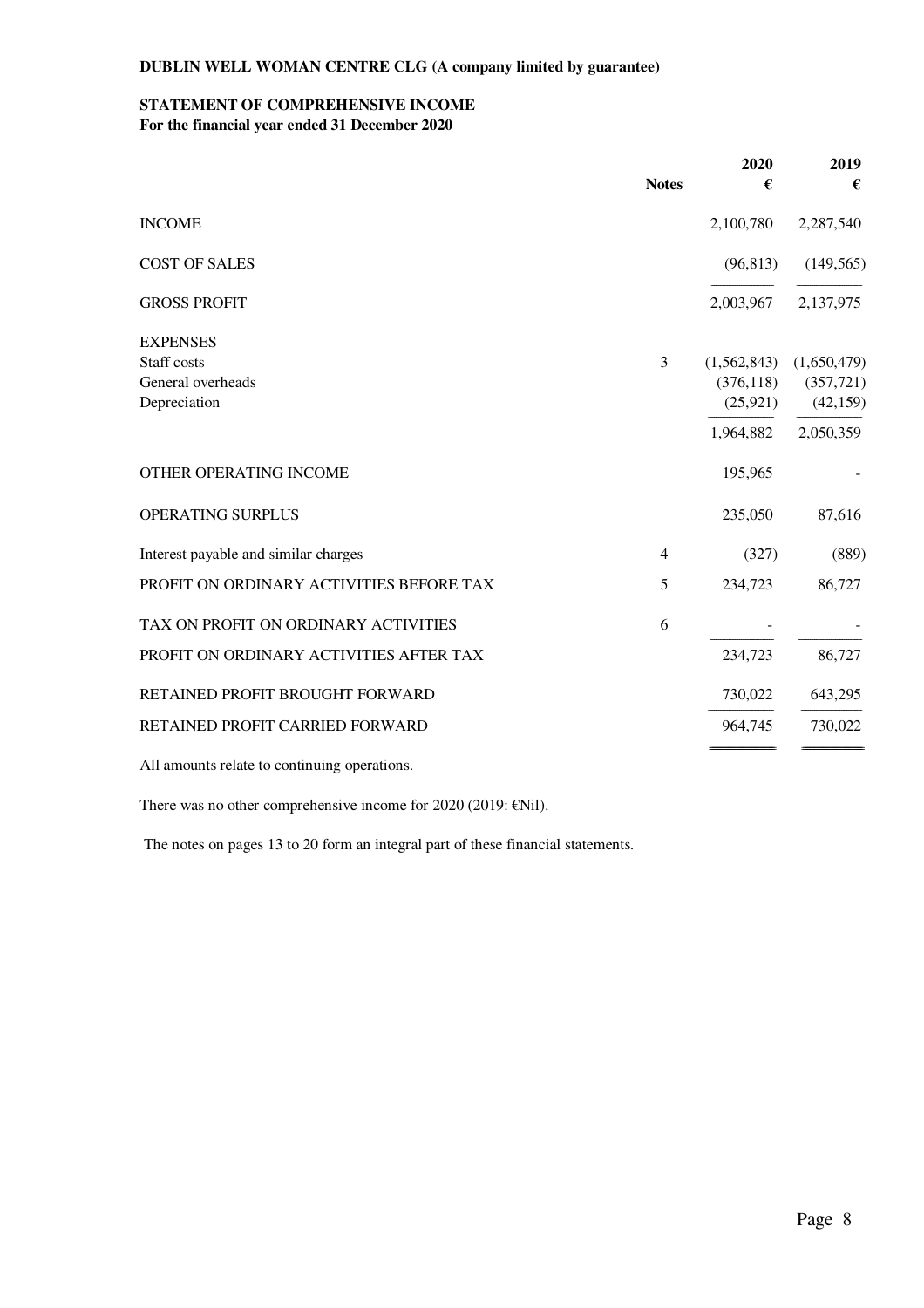# **DUBLIN WELL WOMAN CENTRE CLG (A company limited by guarantee)**

# **STATEMENT OF COMPREHENSIVE INCOME**

 **For the financial year ended 31 December 2020** 

|                                          | <b>Notes</b>   | 2020<br>€   | 2019<br>€   |
|------------------------------------------|----------------|-------------|-------------|
| <b>INCOME</b>                            |                | 2,100,780   | 2,287,540   |
| <b>COST OF SALES</b>                     |                | (96, 813)   | (149, 565)  |
| <b>GROSS PROFIT</b>                      |                | 2,003,967   | 2,137,975   |
| <b>EXPENSES</b>                          |                |             |             |
| Staff costs                              | $\overline{3}$ | (1,562,843) | (1,650,479) |
| General overheads                        |                | (376, 118)  | (357, 721)  |
| Depreciation                             |                | (25, 921)   | (42, 159)   |
|                                          |                | 1,964,882   | 2,050,359   |
| OTHER OPERATING INCOME                   |                | 195,965     |             |
| OPERATING SURPLUS                        |                | 235,050     | 87,616      |
| Interest payable and similar charges     | 4              | (327)       | (889)       |
| PROFIT ON ORDINARY ACTIVITIES BEFORE TAX | 5              | 234,723     | 86,727      |
| TAX ON PROFIT ON ORDINARY ACTIVITIES     | 6              |             |             |
| PROFIT ON ORDINARY ACTIVITIES AFTER TAX  |                | 234,723     | 86,727      |
| RETAINED PROFIT BROUGHT FORWARD          |                | 730,022     | 643,295     |
| RETAINED PROFIT CARRIED FORWARD          |                | 964,745     | 730,022     |
|                                          |                |             |             |

All amounts relate to continuing operations.

There was no other comprehensive income for 2020 (2019:  $\epsilon$ Nil).

The notes on pages 13 to 20 form an integral part of these financial statements.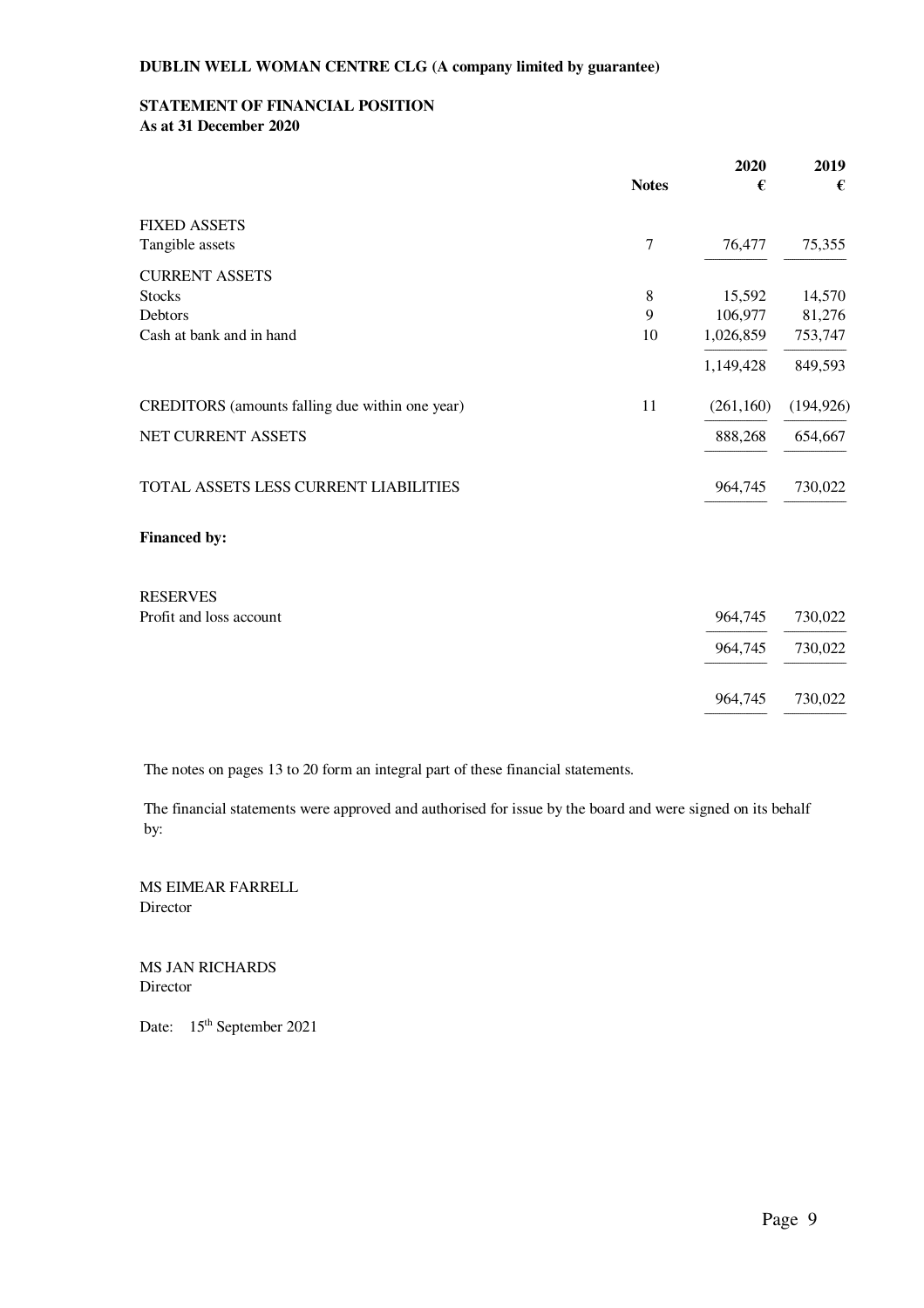# **STATEMENT OF FINANCIAL POSITION**

 **As at 31 December 2020** 

|                                                 |                | 2020       | 2019       |
|-------------------------------------------------|----------------|------------|------------|
|                                                 | <b>Notes</b>   | €          | €          |
| <b>FIXED ASSETS</b>                             |                |            |            |
| Tangible assets                                 | $\overline{7}$ | 76,477     | 75,355     |
| <b>CURRENT ASSETS</b>                           |                |            |            |
| <b>Stocks</b>                                   | $8\,$          | 15,592     | 14,570     |
| Debtors                                         | 9              | 106,977    | 81,276     |
| Cash at bank and in hand                        | 10             | 1,026,859  | 753,747    |
|                                                 |                | 1,149,428  | 849,593    |
| CREDITORS (amounts falling due within one year) | 11             | (261, 160) | (194, 926) |
| NET CURRENT ASSETS                              |                | 888,268    | 654,667    |
| TOTAL ASSETS LESS CURRENT LIABILITIES           |                | 964,745    | 730,022    |
| <b>Financed by:</b>                             |                |            |            |
| <b>RESERVES</b>                                 |                |            |            |
| Profit and loss account                         |                | 964,745    | 730,022    |
|                                                 |                | 964,745    | 730,022    |
|                                                 |                |            |            |

The notes on pages 13 to 20 form an integral part of these financial statements.

The financial statements were approved and authorised for issue by the board and were signed on its behalf by:

 MS EIMEAR FARRELL Director

 MS JAN RICHARDS Director

Date: 15<sup>th</sup> September 2021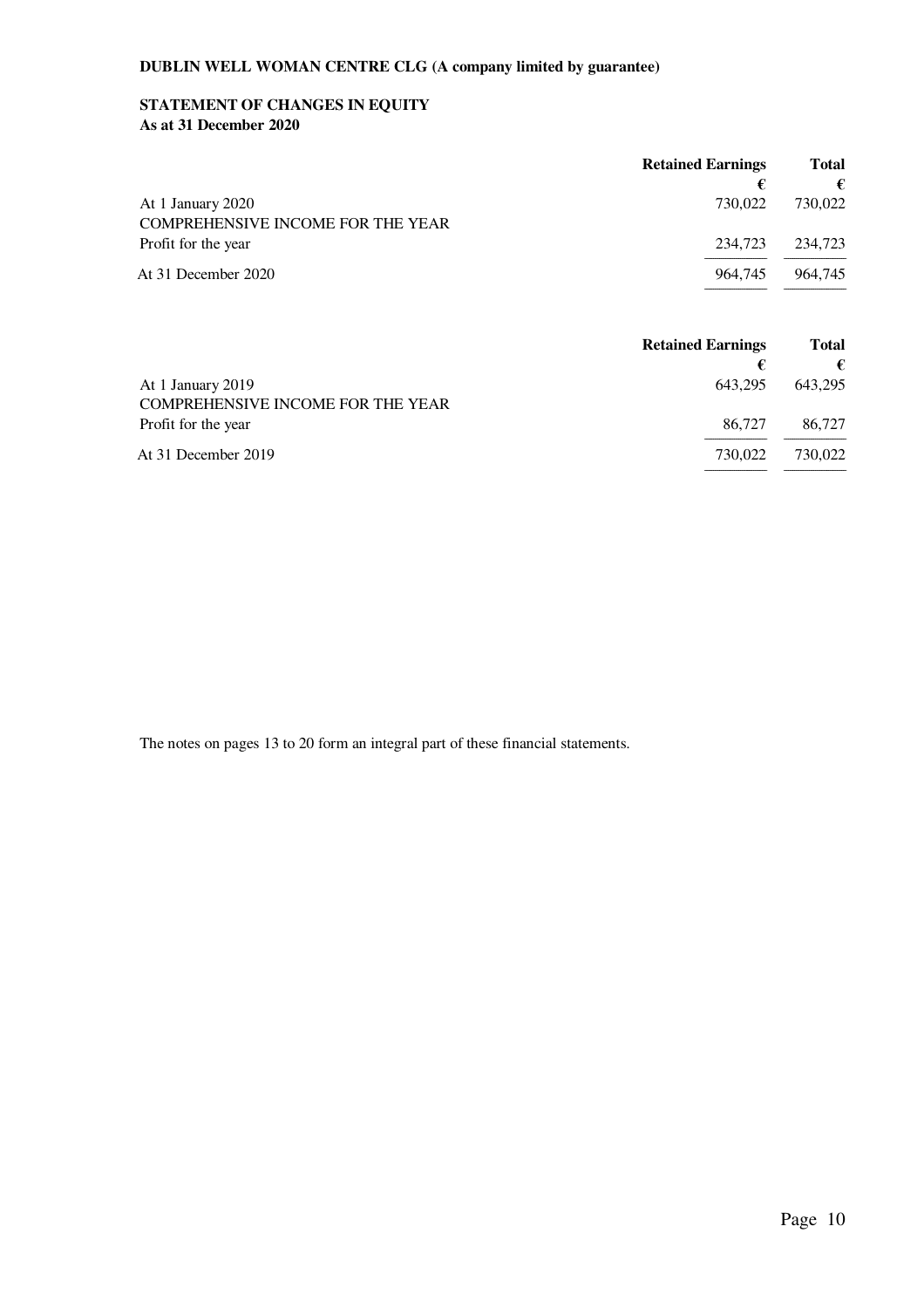# **STATEMENT OF CHANGES IN EQUITY**

 **As at 31 December 2020** 

|                                          | <b>Retained Earnings</b> | <b>Total</b> |
|------------------------------------------|--------------------------|--------------|
|                                          | €                        | €            |
| At 1 January 2020                        | 730,022                  | 730,022      |
| <b>COMPREHENSIVE INCOME FOR THE YEAR</b> |                          |              |
| Profit for the year                      | 234,723                  | 234,723      |
| At 31 December 2020                      | 964.745                  | 964,745      |

|                                                               | <b>Retained Earnings</b> | <b>Total</b> |
|---------------------------------------------------------------|--------------------------|--------------|
|                                                               | €                        | $\mathbf{f}$ |
| At 1 January 2019<br><b>COMPREHENSIVE INCOME FOR THE YEAR</b> | 643.295                  | 643,295      |
| Profit for the year                                           | 86,727                   | 86,727       |
| At 31 December 2019                                           | 730.022                  | 730,022      |

The notes on pages 13 to 20 form an integral part of these financial statements.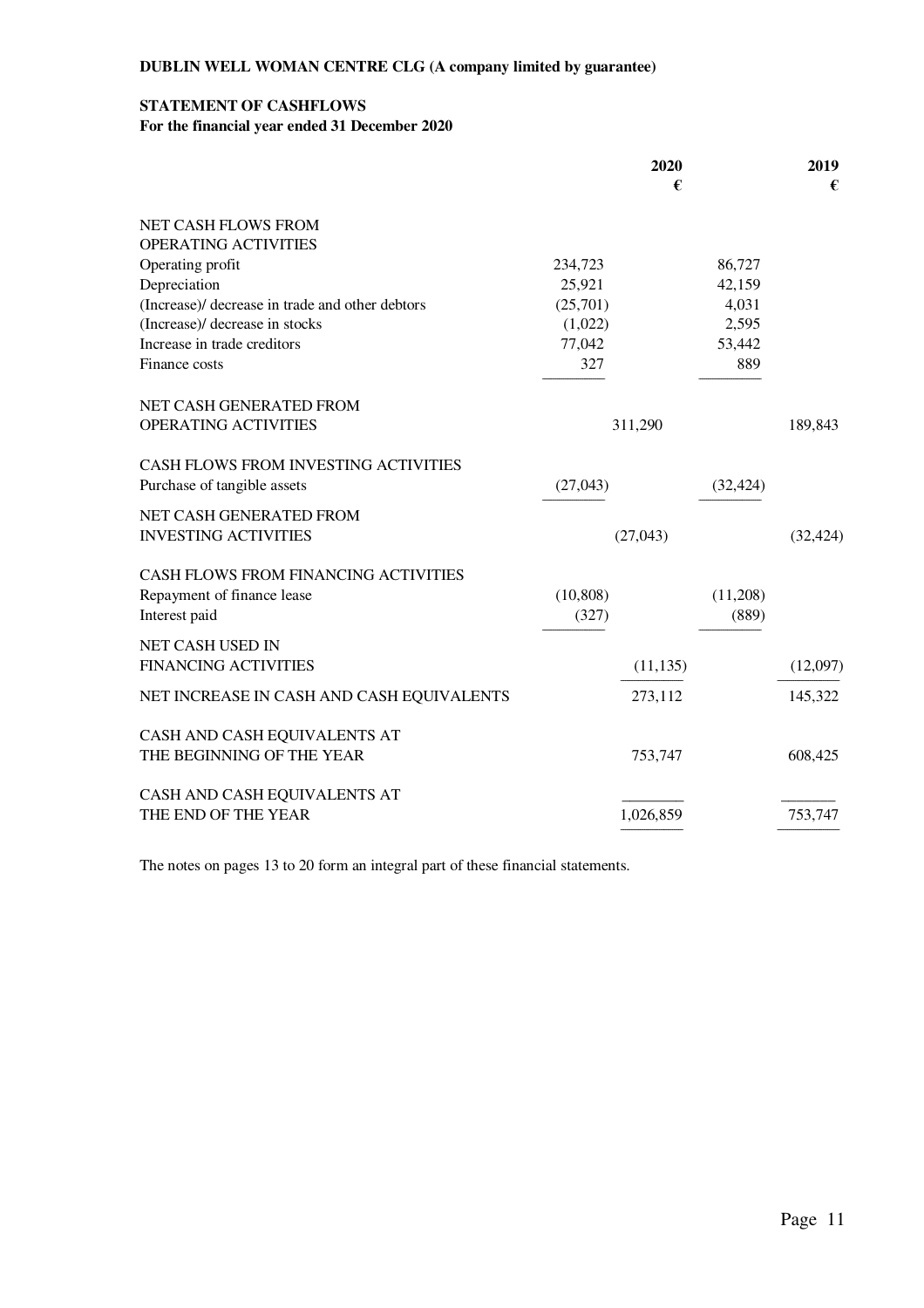# **STATEMENT OF CASHFLOWS**

 **For the financial year ended 31 December 2020** 

|                                                 |           | 2020      | 2019      |
|-------------------------------------------------|-----------|-----------|-----------|
|                                                 |           | €         | €         |
| NET CASH FLOWS FROM                             |           |           |           |
| OPERATING ACTIVITIES                            |           |           |           |
| Operating profit                                | 234,723   | 86,727    |           |
| Depreciation                                    | 25,921    | 42,159    |           |
| (Increase)/ decrease in trade and other debtors | (25,701)  | 4,031     |           |
| (Increase)/ decrease in stocks                  | (1,022)   | 2,595     |           |
| Increase in trade creditors                     | 77,042    | 53,442    |           |
| Finance costs                                   | 327       | 889       |           |
| NET CASH GENERATED FROM                         |           |           |           |
| OPERATING ACTIVITIES                            | 311,290   |           | 189,843   |
| CASH FLOWS FROM INVESTING ACTIVITIES            |           |           |           |
| Purchase of tangible assets                     | (27, 043) | (32, 424) |           |
| NET CASH GENERATED FROM                         |           |           |           |
| <b>INVESTING ACTIVITIES</b>                     | (27, 043) |           | (32, 424) |
| CASH FLOWS FROM FINANCING ACTIVITIES            |           |           |           |
| Repayment of finance lease                      | (10, 808) | (11,208)  |           |
| Interest paid                                   | (327)     | (889)     |           |
| NET CASH USED IN                                |           |           |           |
| <b>FINANCING ACTIVITIES</b>                     |           | (11, 135) | (12,097)  |
| NET INCREASE IN CASH AND CASH EQUIVALENTS       | 273,112   |           | 145,322   |
| CASH AND CASH EQUIVALENTS AT                    |           |           |           |
| THE BEGINNING OF THE YEAR                       | 753,747   |           | 608,425   |
| CASH AND CASH EQUIVALENTS AT                    |           |           |           |
| THE END OF THE YEAR                             | 1,026,859 |           | 753,747   |

The notes on pages 13 to 20 form an integral part of these financial statements.

------------------------------------------ ------------------------------------------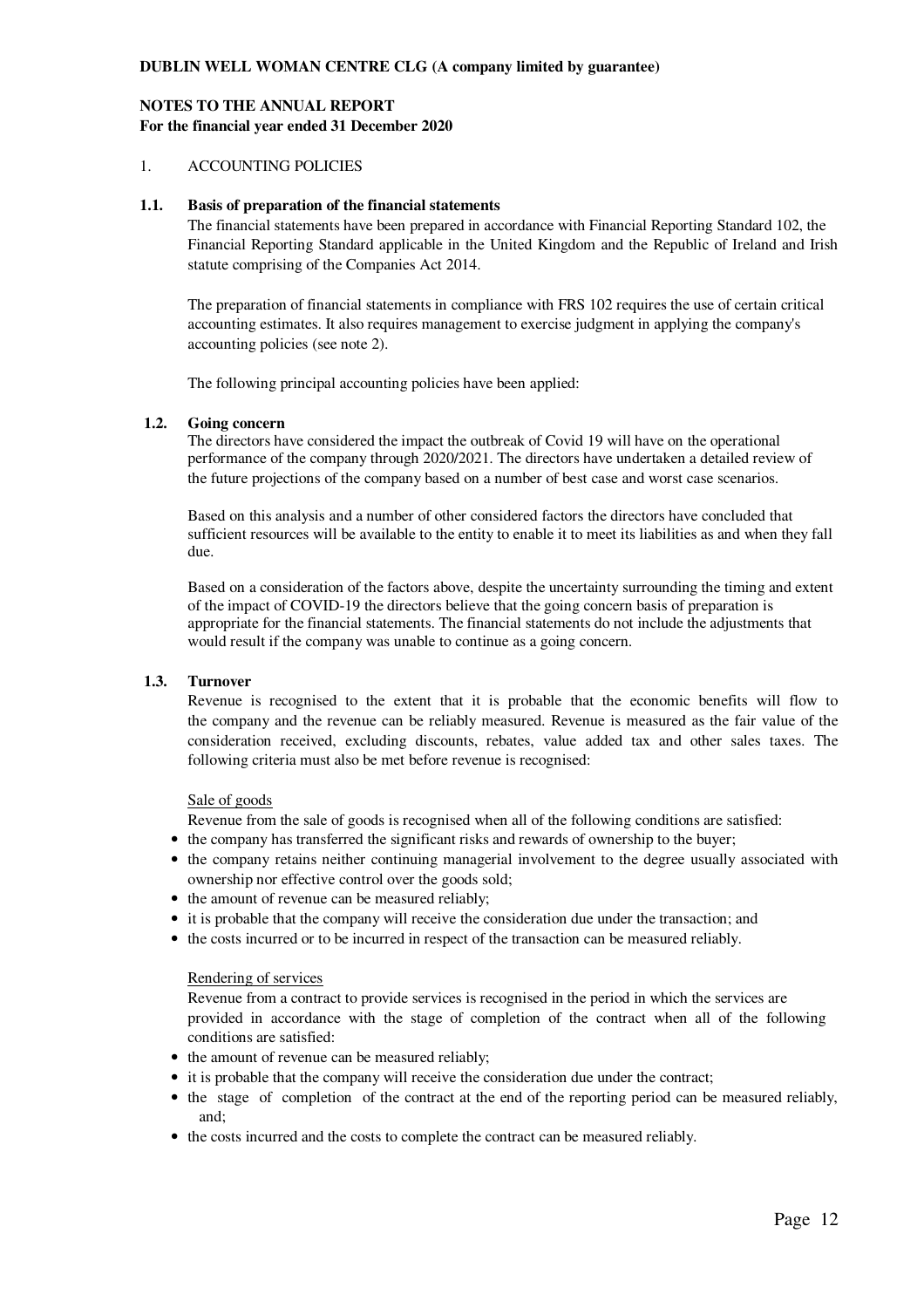### 1. ACCOUNTING POLICIES

## **1.1. Basis of preparation of the financial statements**

 The financial statements have been prepared in accordance with Financial Reporting Standard 102, the Financial Reporting Standard applicable in the United Kingdom and the Republic of Ireland and Irish statute comprising of the Companies Act 2014.

 The preparation of financial statements in compliance with FRS 102 requires the use of certain critical accounting estimates. It also requires management to exercise judgment in applying the company's accounting policies (see note 2).

The following principal accounting policies have been applied:

### **1.2. Going concern**

The directors have considered the impact the outbreak of Covid 19 will have on the operational performance of the company through 2020/2021. The directors have undertaken a detailed review of the future projections of the company based on a number of best case and worst case scenarios.

Based on this analysis and a number of other considered factors the directors have concluded that sufficient resources will be available to the entity to enable it to meet its liabilities as and when they fall due.

Based on a consideration of the factors above, despite the uncertainty surrounding the timing and extent of the impact of COVID-19 the directors believe that the going concern basis of preparation is appropriate for the financial statements. The financial statements do not include the adjustments that would result if the company was unable to continue as a going concern.

### **1.3. Turnover**

Revenue is recognised to the extent that it is probable that the economic benefits will flow to the company and the revenue can be reliably measured. Revenue is measured as the fair value of the consideration received, excluding discounts, rebates, value added tax and other sales taxes. The following criteria must also be met before revenue is recognised:

### Sale of goods

Revenue from the sale of goods is recognised when all of the following conditions are satisfied:

- the company has transferred the significant risks and rewards of ownership to the buyer;
- the company retains neither continuing managerial involvement to the degree usually associated with ownership nor effective control over the goods sold;
- the amount of revenue can be measured reliably;
- it is probable that the company will receive the consideration due under the transaction; and
- the costs incurred or to be incurred in respect of the transaction can be measured reliably.

# Rendering of services

Revenue from a contract to provide services is recognised in the period in which the services are provided in accordance with the stage of completion of the contract when all of the following conditions are satisfied:

- the amount of revenue can be measured reliably;
- it is probable that the company will receive the consideration due under the contract;
- the stage of completion of the contract at the end of the reporting period can be measured reliably, and;
- the costs incurred and the costs to complete the contract can be measured reliably.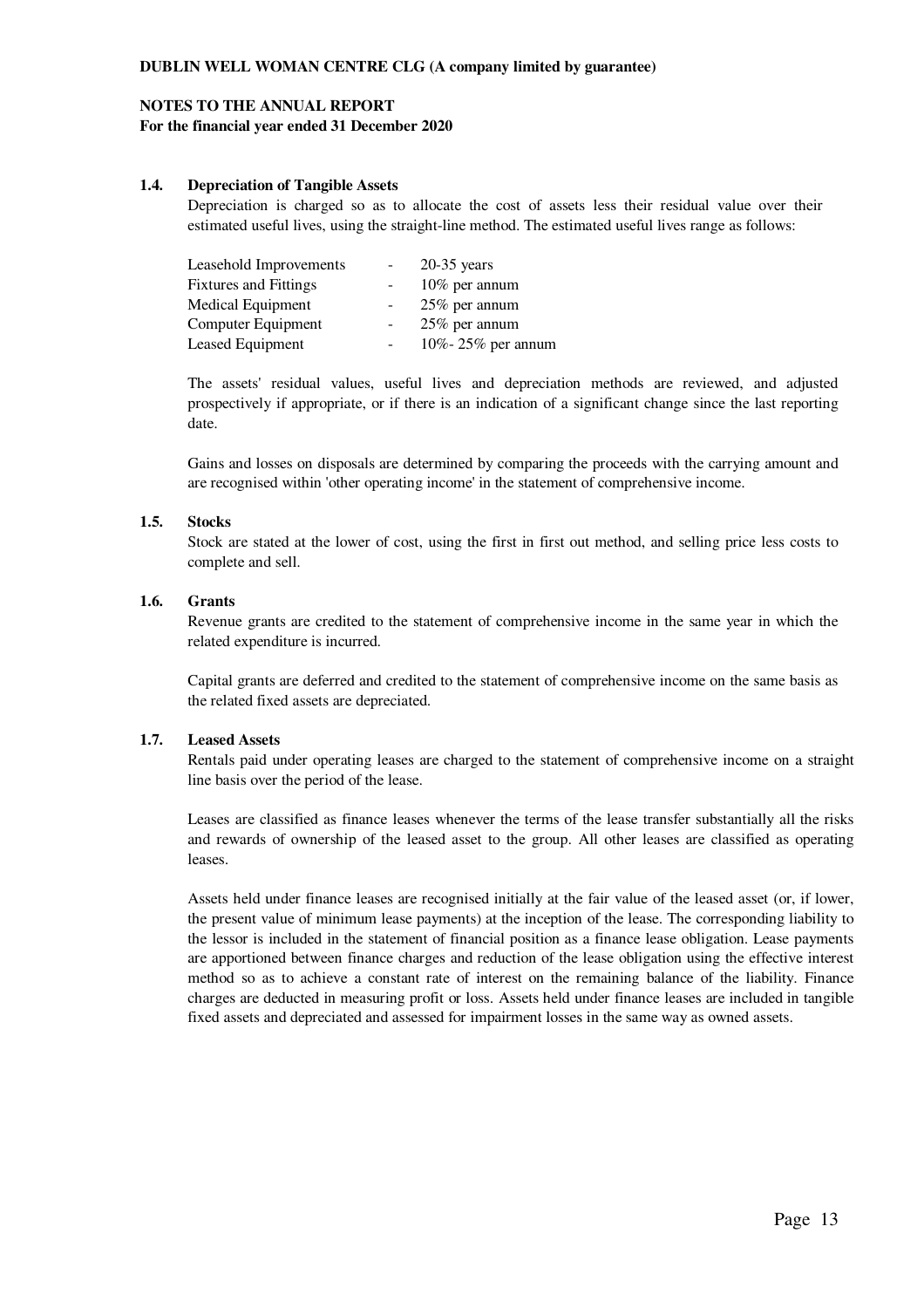### **For the financial year ended 31 December 2020**

### **1.4. Depreciation of Tangible Assets**

 Depreciation is charged so as to allocate the cost of assets less their residual value over their estimated useful lives, using the straight-line method. The estimated useful lives range as follows:

| Leasehold Improvements       | $\sim 100$ | $20-35$ years     |
|------------------------------|------------|-------------------|
| <b>Fixtures and Fittings</b> |            | $10\%$ per annum  |
| Medical Equipment            |            | $25\%$ per annum  |
| Computer Equipment           |            | $25\%$ per annum  |
| Leased Equipment             |            | 10%-25% per annum |

The assets' residual values, useful lives and depreciation methods are reviewed, and adjusted prospectively if appropriate, or if there is an indication of a significant change since the last reporting date.

Gains and losses on disposals are determined by comparing the proceeds with the carrying amount and are recognised within 'other operating income' in the statement of comprehensive income.

### **1.5. Stocks**

 Stock are stated at the lower of cost, using the first in first out method, and selling price less costs to complete and sell.

### **1.6. Grants**

Revenue grants are credited to the statement of comprehensive income in the same year in which the related expenditure is incurred.

Capital grants are deferred and credited to the statement of comprehensive income on the same basis as the related fixed assets are depreciated.

# **1.7. Leased Assets**

Rentals paid under operating leases are charged to the statement of comprehensive income on a straight line basis over the period of the lease.

Leases are classified as finance leases whenever the terms of the lease transfer substantially all the risks and rewards of ownership of the leased asset to the group. All other leases are classified as operating leases.

Assets held under finance leases are recognised initially at the fair value of the leased asset (or, if lower, the present value of minimum lease payments) at the inception of the lease. The corresponding liability to the lessor is included in the statement of financial position as a finance lease obligation. Lease payments are apportioned between finance charges and reduction of the lease obligation using the effective interest method so as to achieve a constant rate of interest on the remaining balance of the liability. Finance charges are deducted in measuring profit or loss. Assets held under finance leases are included in tangible fixed assets and depreciated and assessed for impairment losses in the same way as owned assets.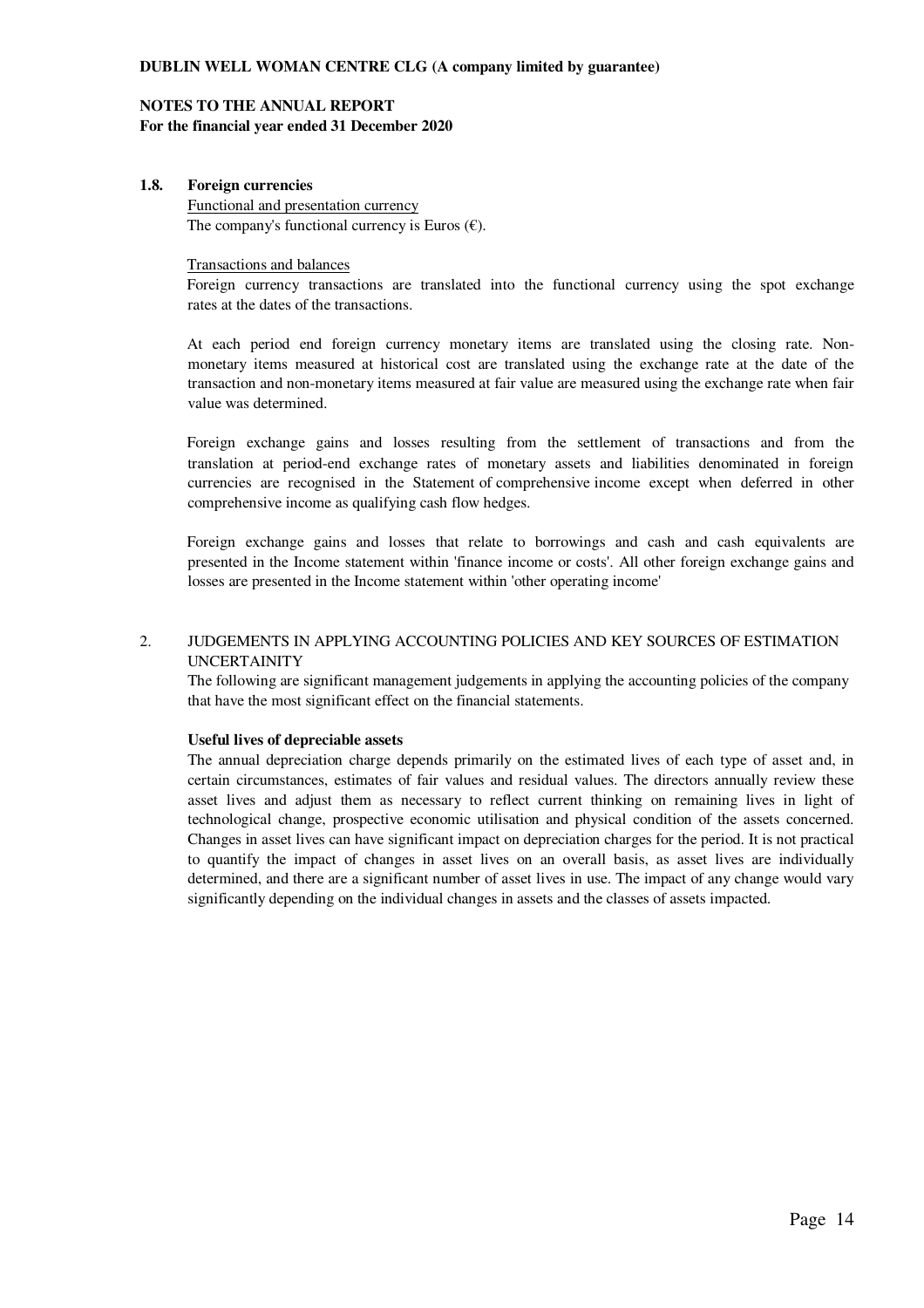**For the financial year ended 31 December 2020** 

## **1.8. Foreign currencies**

 Functional and presentation currency The company's functional currency is Euros  $(\epsilon)$ .

### Transactions and balances

Foreign currency transactions are translated into the functional currency using the spot exchange rates at the dates of the transactions.

At each period end foreign currency monetary items are translated using the closing rate. Nonmonetary items measured at historical cost are translated using the exchange rate at the date of the transaction and non-monetary items measured at fair value are measured using the exchange rate when fair value was determined.

Foreign exchange gains and losses resulting from the settlement of transactions and from the translation at period-end exchange rates of monetary assets and liabilities denominated in foreign currencies are recognised in the Statement of comprehensive income except when deferred in other comprehensive income as qualifying cash flow hedges.

Foreign exchange gains and losses that relate to borrowings and cash and cash equivalents are presented in the Income statement within 'finance income or costs'. All other foreign exchange gains and losses are presented in the Income statement within 'other operating income'

# 2. JUDGEMENTS IN APPLYING ACCOUNTING POLICIES AND KEY SOURCES OF ESTIMATION UNCERTAINITY

The following are significant management judgements in applying the accounting policies of the company that have the most significant effect on the financial statements.

### **Useful lives of depreciable assets**

The annual depreciation charge depends primarily on the estimated lives of each type of asset and, in certain circumstances, estimates of fair values and residual values. The directors annually review these asset lives and adjust them as necessary to reflect current thinking on remaining lives in light of technological change, prospective economic utilisation and physical condition of the assets concerned. Changes in asset lives can have significant impact on depreciation charges for the period. It is not practical to quantify the impact of changes in asset lives on an overall basis, as asset lives are individually determined, and there are a significant number of asset lives in use. The impact of any change would vary significantly depending on the individual changes in assets and the classes of assets impacted.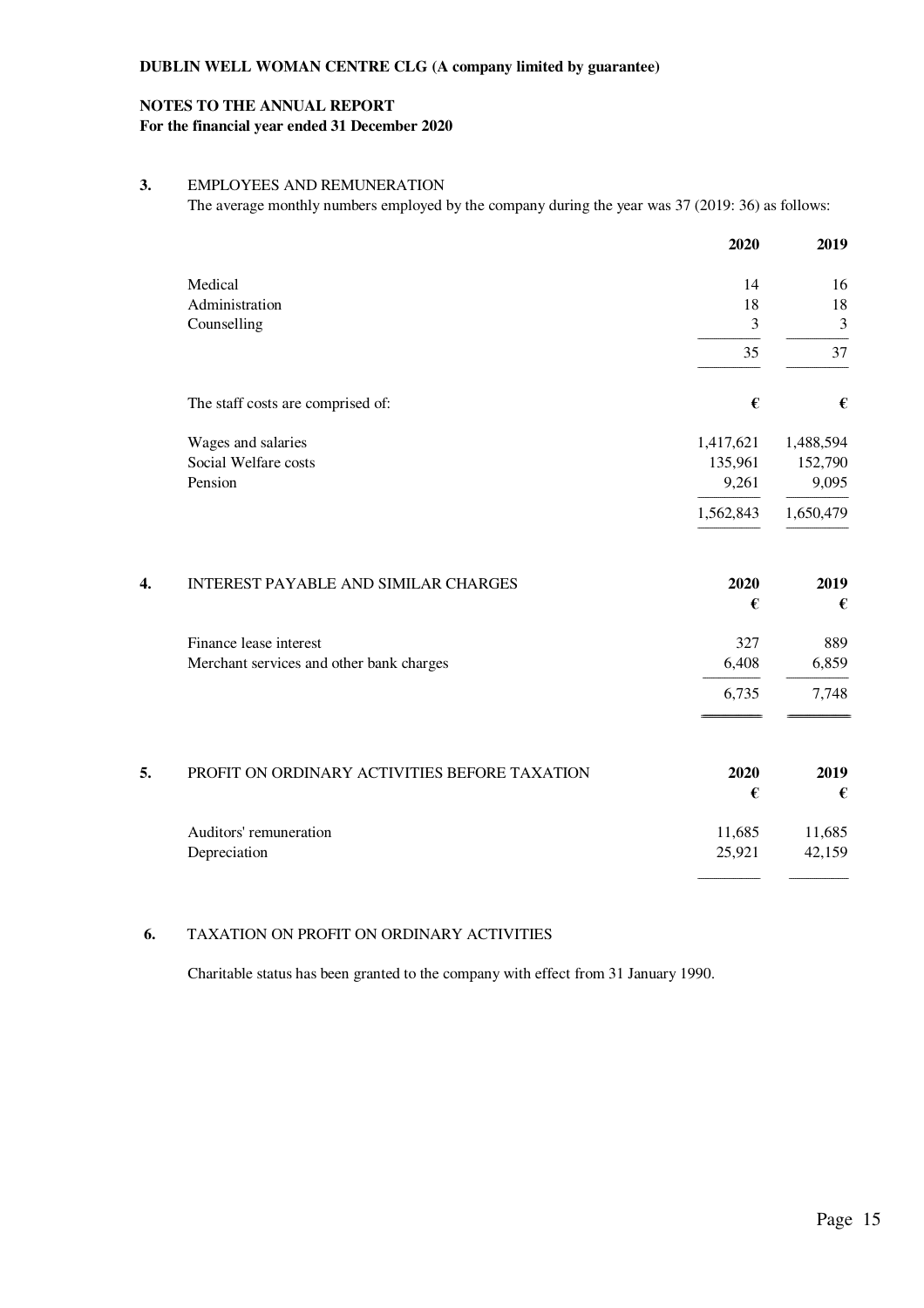**For the financial year ended 31 December 2020** 

# **3.** EMPLOYEES AND REMUNERATION

The average monthly numbers employed by the company during the year was 37 (2019: 36) as follows:

|    |                                               | 2020           | 2019           |
|----|-----------------------------------------------|----------------|----------------|
|    | Medical                                       | 14             | 16             |
|    | Administration                                | 18             | $18\,$         |
|    | Counselling                                   | $\mathfrak{Z}$ | $\mathfrak{Z}$ |
|    |                                               | 35             | 37             |
|    | The staff costs are comprised of:             | €              | €              |
|    | Wages and salaries                            | 1,417,621      | 1,488,594      |
|    | Social Welfare costs                          | 135,961        | 152,790        |
|    | Pension                                       | 9,261          | 9,095          |
|    |                                               | 1,562,843      | 1,650,479      |
| 4. | INTEREST PAYABLE AND SIMILAR CHARGES          | 2020           | 2019           |
|    |                                               | €              | €              |
|    | Finance lease interest                        | 327            | 889            |
|    | Merchant services and other bank charges      | 6,408          | 6,859          |
|    |                                               | 6,735          | 7,748          |
| 5. | PROFIT ON ORDINARY ACTIVITIES BEFORE TAXATION | 2020           | 2019           |
|    |                                               | €              | €              |
|    | Auditors' remuneration                        | 11,685         | 11,685         |
|    | Depreciation                                  | 25,921         | 42,159         |
|    |                                               |                |                |

# **6.** TAXATION ON PROFIT ON ORDINARY ACTIVITIES

Charitable status has been granted to the company with effect from 31 January 1990.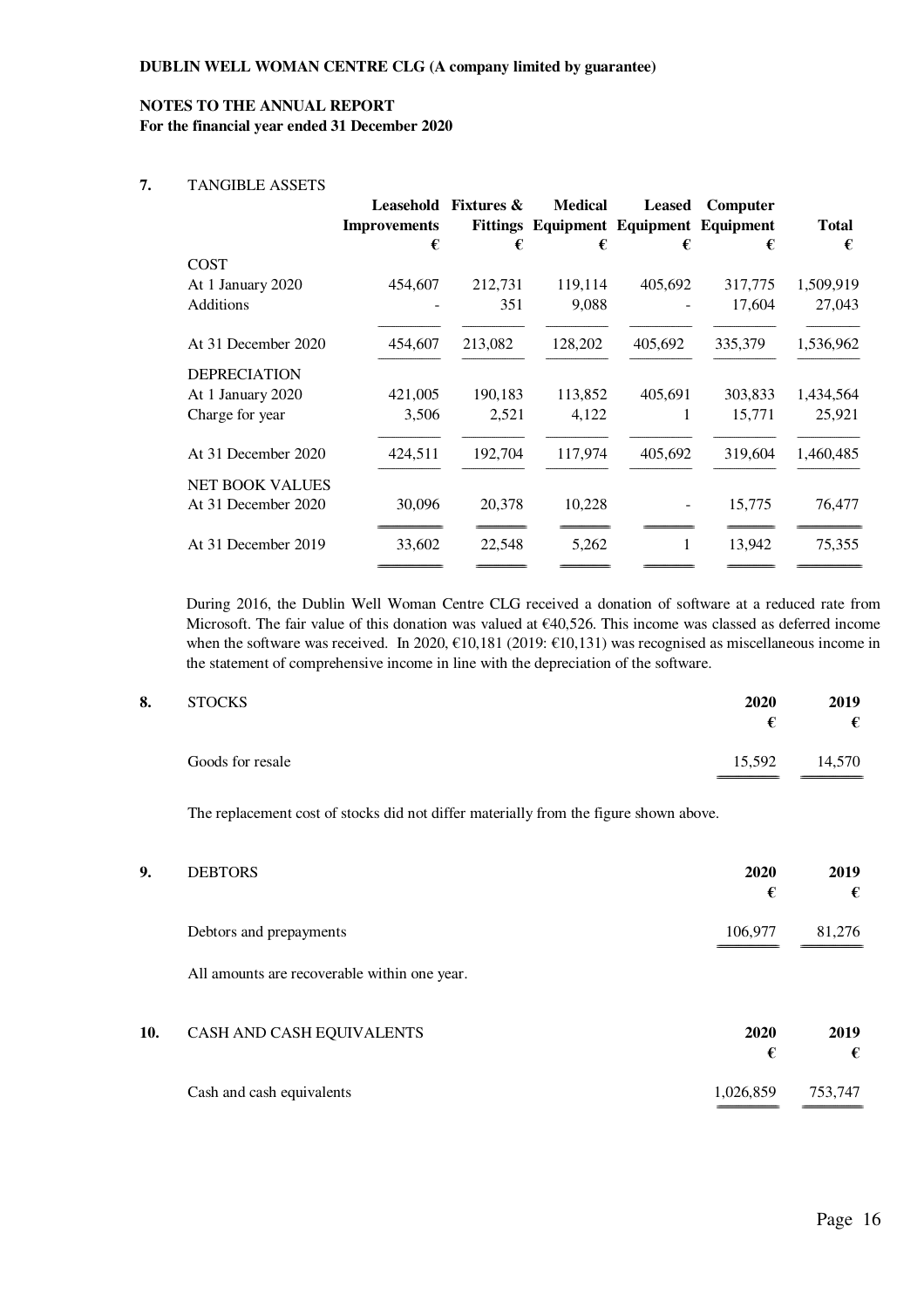**For the financial year ended 31 December 2020** 

# **7.** TANGIBLE ASSETS

|                        | Improvements | <b>Leasehold Fixtures &amp;</b> | <b>Medical</b> | <b>Leased</b>            | Computer<br><b>Fittings Equipment Equipment Equipment</b> | <b>Total</b> |
|------------------------|--------------|---------------------------------|----------------|--------------------------|-----------------------------------------------------------|--------------|
|                        | €            | €                               | €              | €                        | €                                                         | €            |
| <b>COST</b>            |              |                                 |                |                          |                                                           |              |
| At 1 January 2020      | 454,607      | 212,731                         | 119,114        | 405,692                  | 317,775                                                   | 1,509,919    |
| <b>Additions</b>       |              | 351                             | 9,088          |                          | 17,604                                                    | 27,043       |
| At 31 December 2020    | 454,607      | 213,082                         | 128,202        | 405,692                  | 335,379                                                   | 1,536,962    |
| <b>DEPRECIATION</b>    |              |                                 |                |                          |                                                           |              |
| At 1 January 2020      | 421,005      | 190,183                         | 113,852        | 405,691                  | 303,833                                                   | 1,434,564    |
| Charge for year        | 3,506        | 2,521                           | 4,122          | 1                        | 15,771                                                    | 25,921       |
| At 31 December 2020    | 424,511      | 192,704                         | 117,974        | 405.692                  | 319,604                                                   | 1,460,485    |
| <b>NET BOOK VALUES</b> |              |                                 |                |                          |                                                           |              |
| At 31 December 2020    | 30,096       | 20,378                          | 10,228         | $\overline{\phantom{a}}$ | 15,775                                                    | 76,477       |
| At 31 December 2019    | 33,602       | 22,548                          | 5,262          | 1                        | 13,942                                                    | 75,355       |
|                        |              |                                 |                |                          |                                                           |              |

During 2016, the Dublin Well Woman Centre CLG received a donation of software at a reduced rate from Microsoft. The fair value of this donation was valued at €40,526. This income was classed as deferred income when the software was received. In 2020, €10,181 (2019: €10,131) was recognised as miscellaneous income in the statement of comprehensive income in line with the depreciation of the software.

| 8. | <b>STOCKS</b>    | 2020<br>₽ | 2019<br>€ |
|----|------------------|-----------|-----------|
|    | Goods for resale | 15,592    | 14,570    |

The replacement cost of stocks did not differ materially from the figure shown above.

| 9.  | <b>DEBTORS</b>                               | 2020<br>€ | 2019<br>€ |
|-----|----------------------------------------------|-----------|-----------|
|     | Debtors and prepayments                      | 106,977   | 81,276    |
|     | All amounts are recoverable within one year. |           |           |
| 10. | CASH AND CASH EQUIVALENTS                    | 2020<br>€ | 2019<br>€ |
|     | Cash and cash equivalents                    | 1,026,859 | 753,747   |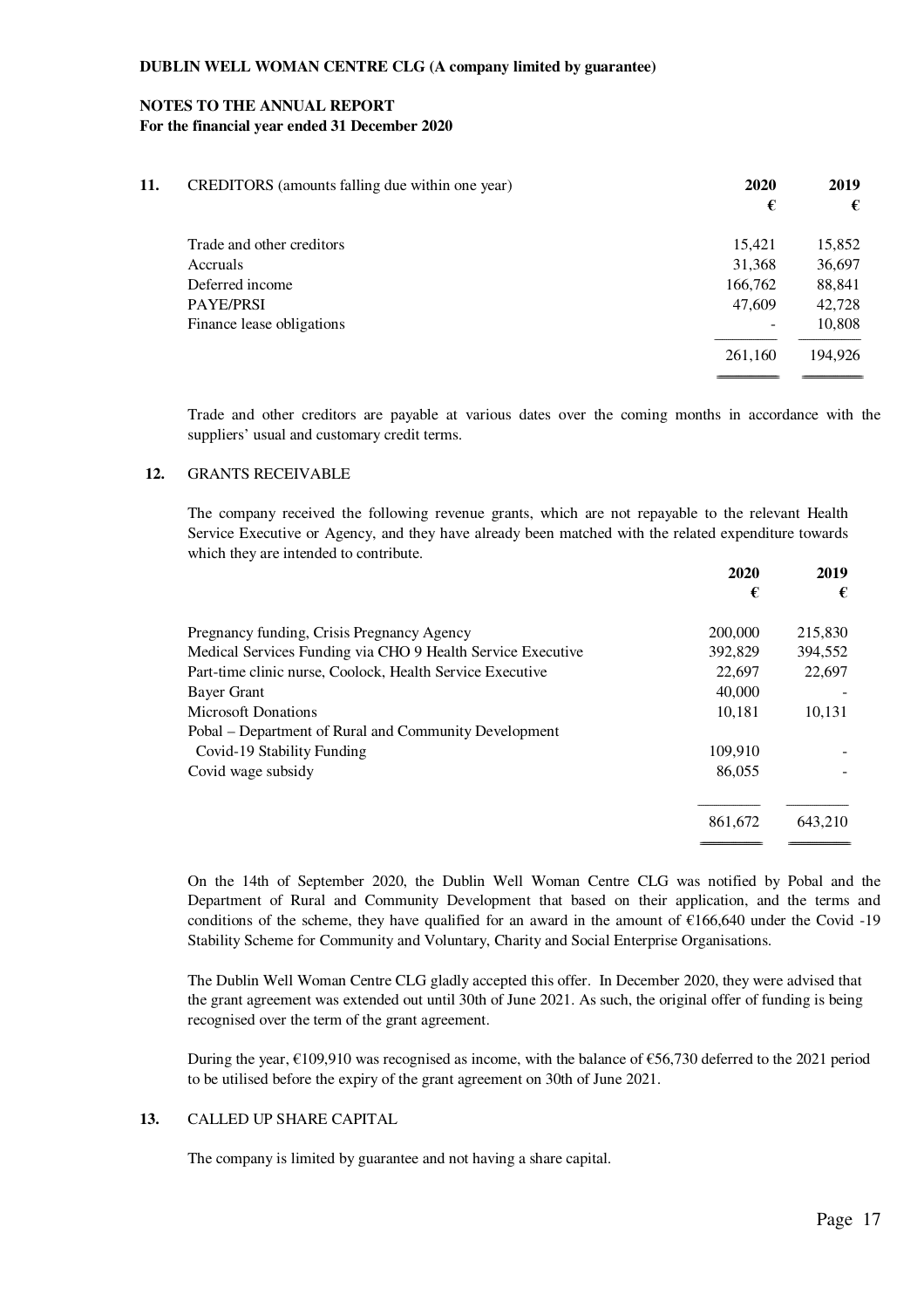| 11. | CREDITORS (amounts falling due within one year) | 2020                     | 2019    |
|-----|-------------------------------------------------|--------------------------|---------|
|     |                                                 | €                        | €       |
|     | Trade and other creditors                       | 15,421                   | 15,852  |
|     | Accruals                                        | 31,368                   | 36,697  |
|     | Deferred income                                 | 166,762                  | 88,841  |
|     | PAYE/PRSI                                       | 47,609                   | 42,728  |
|     | Finance lease obligations                       | $\overline{\phantom{a}}$ | 10,808  |
|     |                                                 | 261,160                  | 194,926 |
|     |                                                 |                          |         |

Trade and other creditors are payable at various dates over the coming months in accordance with the suppliers' usual and customary credit terms.

### **12.** GRANTS RECEIVABLE

The company received the following revenue grants, which are not repayable to the relevant Health Service Executive or Agency, and they have already been matched with the related expenditure towards which they are intended to contribute.

|                                                             | 2020    | 2019    |
|-------------------------------------------------------------|---------|---------|
|                                                             | €       | €       |
| Pregnancy funding, Crisis Pregnancy Agency                  | 200,000 | 215,830 |
| Medical Services Funding via CHO 9 Health Service Executive | 392,829 | 394,552 |
| Part-time clinic nurse, Coolock, Health Service Executive   | 22,697  | 22,697  |
| Bayer Grant                                                 | 40,000  |         |
| <b>Microsoft Donations</b>                                  | 10,181  | 10,131  |
| Pobal – Department of Rural and Community Development       |         |         |
| Covid-19 Stability Funding                                  | 109.910 |         |
| Covid wage subsidy                                          | 86,055  |         |
|                                                             | 861.672 | 643.210 |
|                                                             |         |         |

On the 14th of September 2020, the Dublin Well Woman Centre CLG was notified by Pobal and the Department of Rural and Community Development that based on their application, and the terms and conditions of the scheme, they have qualified for an award in the amount of €166,640 under the Covid -19 Stability Scheme for Community and Voluntary, Charity and Social Enterprise Organisations.

The Dublin Well Woman Centre CLG gladly accepted this offer. In December 2020, they were advised that the grant agreement was extended out until 30th of June 2021. As such, the original offer of funding is being recognised over the term of the grant agreement.

During the year,  $\epsilon$ 109,910 was recognised as income, with the balance of  $\epsilon$ 56,730 deferred to the 2021 period to be utilised before the expiry of the grant agreement on 30th of June 2021.

# **13.** CALLED UP SHARE CAPITAL

The company is limited by guarantee and not having a share capital.

========================================= =========================================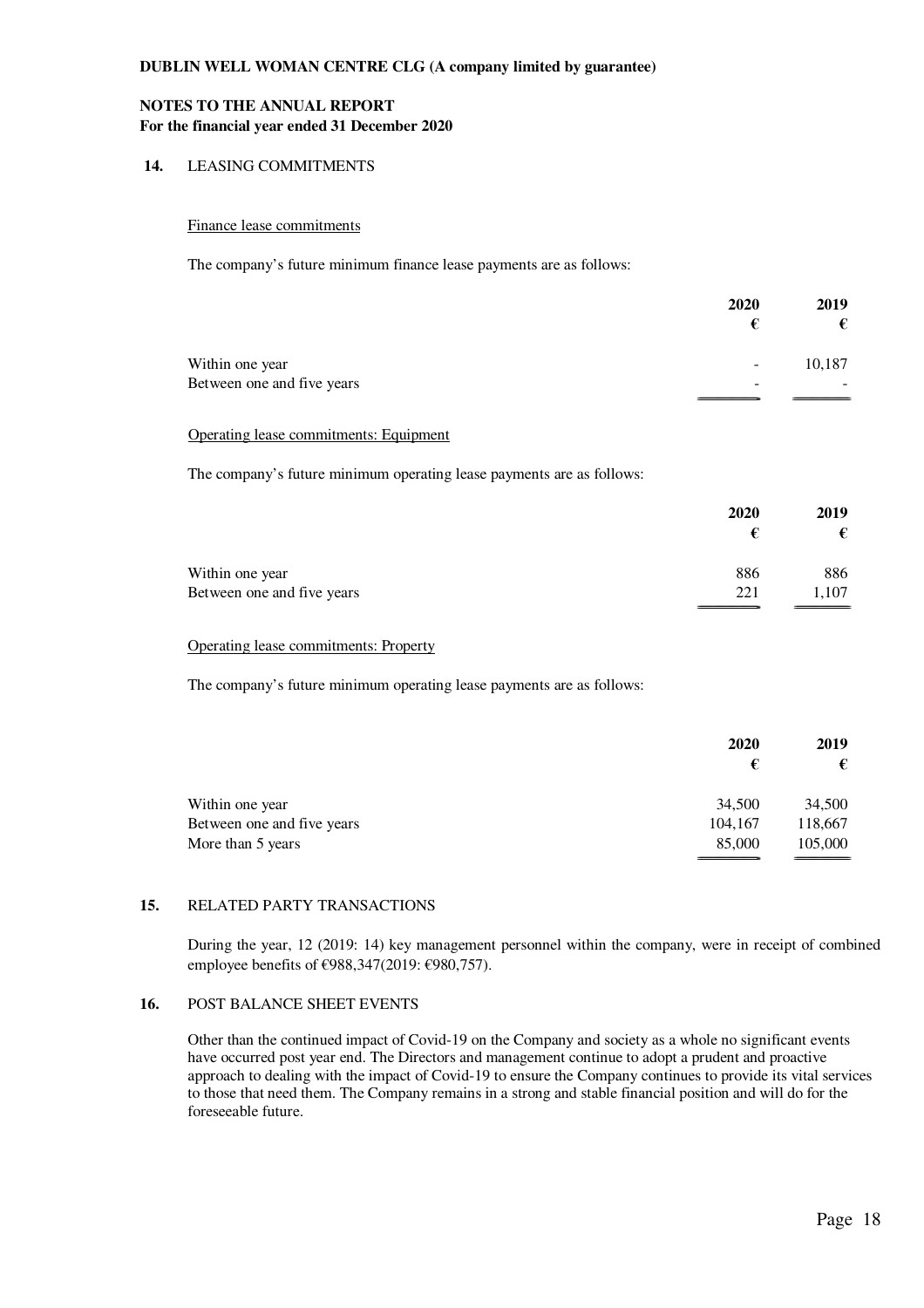## **14.** LEASING COMMITMENTS

#### Finance lease commitments

The company's future minimum finance lease payments are as follows:

|                                        | 2020                     | 2019   |
|----------------------------------------|--------------------------|--------|
|                                        | €                        | €      |
| Within one year                        | $\overline{\phantom{a}}$ | 10,187 |
| Between one and five years             |                          |        |
| Operating lease commitments: Equipment |                          |        |

The company's future minimum operating lease payments are as follows:

|                            | 2020 | 2019  |
|----------------------------|------|-------|
|                            | €    | €     |
| Within one year            | 886  | 886   |
| Between one and five years | 221  | 1,107 |
|                            |      |       |

## Operating lease commitments: Property

The company's future minimum operating lease payments are as follows:

| 2019<br>€ |
|-----------|
| 34,500    |
| 118,667   |
| 105,000   |
|           |

### **15.** RELATED PARTY TRANSACTIONS

 During the year, 12 (2019: 14) key management personnel within the company, were in receipt of combined employee benefits of €988,347(2019: €980,757).

# **16.** POST BALANCE SHEET EVENTS

Other than the continued impact of Covid-19 on the Company and society as a whole no significant events have occurred post year end. The Directors and management continue to adopt a prudent and proactive approach to dealing with the impact of Covid-19 to ensure the Company continues to provide its vital services to those that need them. The Company remains in a strong and stable financial position and will do for the foreseeable future.